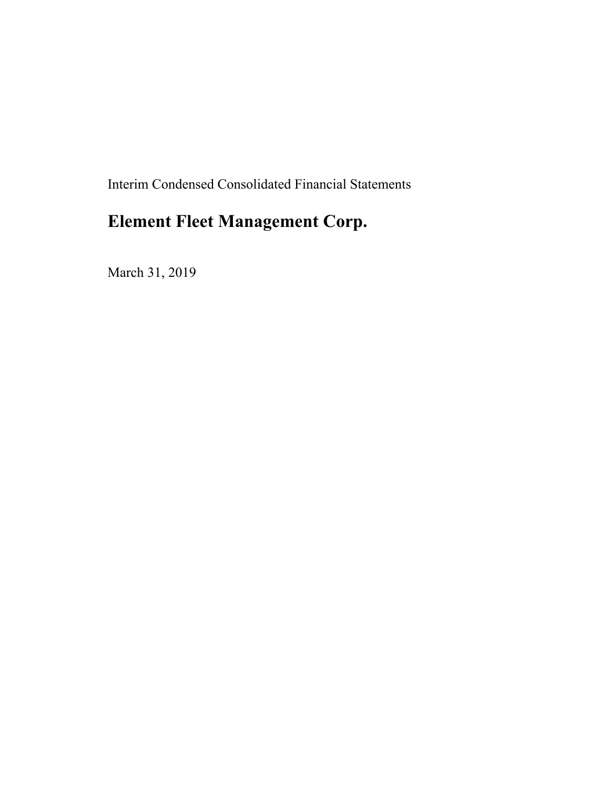Interim Condensed Consolidated Financial Statements

# **Element Fleet Management Corp.**

March 31, 2019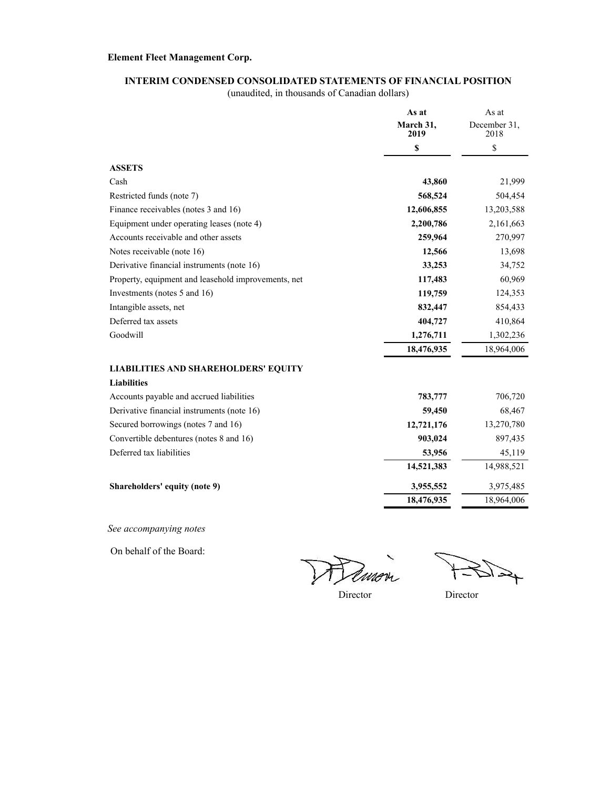#### **INTERIM CONDENSED CONSOLIDATED STATEMENTS OF FINANCIAL POSITION**

(unaudited, in thousands of Canadian dollars)

|                                                     | As at             | As at<br>December 31,<br>2018 |  |
|-----------------------------------------------------|-------------------|-------------------------------|--|
|                                                     | March 31,<br>2019 |                               |  |
|                                                     | \$                | \$                            |  |
| <b>ASSETS</b>                                       |                   |                               |  |
| Cash                                                | 43,860            | 21,999                        |  |
| Restricted funds (note 7)                           | 568,524           | 504,454                       |  |
| Finance receivables (notes 3 and 16)                | 12,606,855        | 13,203,588                    |  |
| Equipment under operating leases (note 4)           | 2,200,786         | 2,161,663                     |  |
| Accounts receivable and other assets                | 259,964           | 270,997                       |  |
| Notes receivable (note 16)                          | 12,566            | 13,698                        |  |
| Derivative financial instruments (note 16)          | 33,253            | 34,752                        |  |
| Property, equipment and leasehold improvements, net | 117,483           | 60,969                        |  |
| Investments (notes 5 and 16)                        | 119,759           | 124,353                       |  |
| Intangible assets, net                              | 832,447           | 854,433                       |  |
| Deferred tax assets                                 | 404,727           | 410,864                       |  |
| Goodwill                                            | 1,276,711         | 1,302,236                     |  |
|                                                     | 18,476,935        | 18,964,006                    |  |
| <b>LIABILITIES AND SHAREHOLDERS' EQUITY</b>         |                   |                               |  |
| <b>Liabilities</b>                                  |                   |                               |  |
| Accounts payable and accrued liabilities            | 783,777           | 706,720                       |  |
| Derivative financial instruments (note 16)          | 59,450            | 68,467                        |  |
| Secured borrowings (notes 7 and 16)                 | 12,721,176        | 13,270,780                    |  |
| Convertible debentures (notes 8 and 16)             | 903,024           | 897,435                       |  |
| Deferred tax liabilities                            | 53,956            | 45,119                        |  |
|                                                     | 14,521,383        | 14,988,521                    |  |
| Shareholders' equity (note 9)                       | 3,955,552         | 3,975,485                     |  |
|                                                     | 18,476,935        | 18,964,006                    |  |
|                                                     |                   |                               |  |

*See accompanying notes*

On behalf of the Board:

mon

 $45/2$ 

Director Director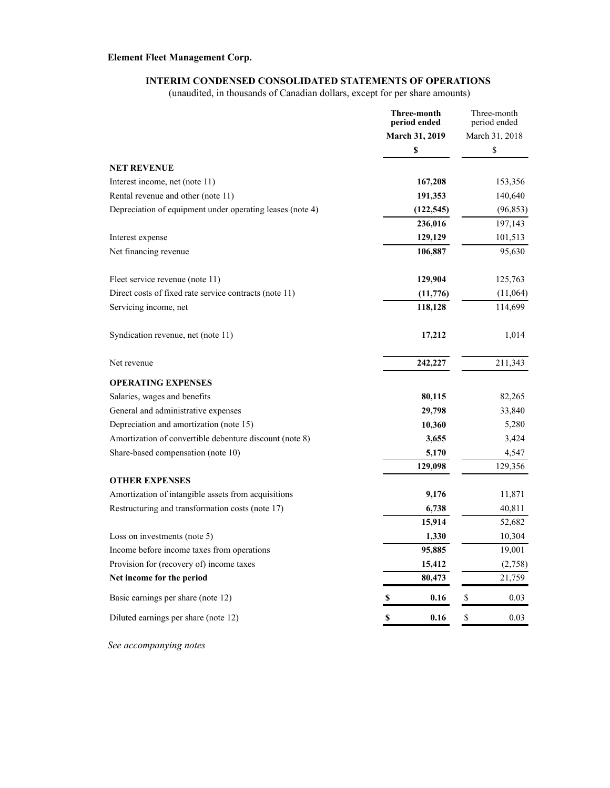#### **INTERIM CONDENSED CONSOLIDATED STATEMENTS OF OPERATIONS**

(unaudited, in thousands of Canadian dollars, except for per share amounts)

|                                                           | <b>Three-month</b><br>period ended | Three-month<br>period ended |  |
|-----------------------------------------------------------|------------------------------------|-----------------------------|--|
|                                                           | March 31, 2019                     | March 31, 2018              |  |
|                                                           | \$                                 | \$                          |  |
| <b>NET REVENUE</b>                                        |                                    |                             |  |
| Interest income, net (note 11)                            | 167,208                            | 153,356                     |  |
| Rental revenue and other (note 11)                        | 191,353                            | 140,640                     |  |
| Depreciation of equipment under operating leases (note 4) | (122, 545)                         | (96, 853)                   |  |
|                                                           | 236,016                            | 197,143                     |  |
| Interest expense                                          | 129,129                            | 101,513                     |  |
| Net financing revenue                                     | 106,887                            | 95,630                      |  |
| Fleet service revenue (note 11)                           | 129,904                            | 125,763                     |  |
| Direct costs of fixed rate service contracts (note 11)    | (11,776)                           | (11,064)                    |  |
| Servicing income, net                                     | 118,128                            | 114,699                     |  |
| Syndication revenue, net (note 11)                        | 17,212                             | 1,014                       |  |
| Net revenue                                               | 242,227                            | 211,343                     |  |
| <b>OPERATING EXPENSES</b>                                 |                                    |                             |  |
| Salaries, wages and benefits                              | 80,115                             | 82,265                      |  |
| General and administrative expenses                       | 29,798                             | 33,840                      |  |
| Depreciation and amortization (note 15)                   | 10,360                             | 5,280                       |  |
| Amortization of convertible debenture discount (note 8)   | 3,655                              | 3,424                       |  |
| Share-based compensation (note 10)                        | 5,170                              | 4,547                       |  |
|                                                           | 129,098                            | 129,356                     |  |
| <b>OTHER EXPENSES</b>                                     |                                    |                             |  |
| Amortization of intangible assets from acquisitions       | 9,176                              | 11,871                      |  |
| Restructuring and transformation costs (note 17)          | 6,738                              | 40,811                      |  |
|                                                           | 15,914                             | 52,682                      |  |
| Loss on investments (note 5)                              | 1,330                              | 10,304                      |  |
| Income before income taxes from operations                | 95,885                             | 19,001                      |  |
| Provision for (recovery of) income taxes                  | 15,412                             | (2,758)                     |  |
| Net income for the period                                 | 80,473                             | 21,759                      |  |
| Basic earnings per share (note 12)                        | $\mathbb S$<br>0.16                | $\mathbb{S}$<br>0.03        |  |
| Diluted earnings per share (note 12)                      | 0.16<br>\$                         | \$<br>0.03                  |  |

*See accompanying notes*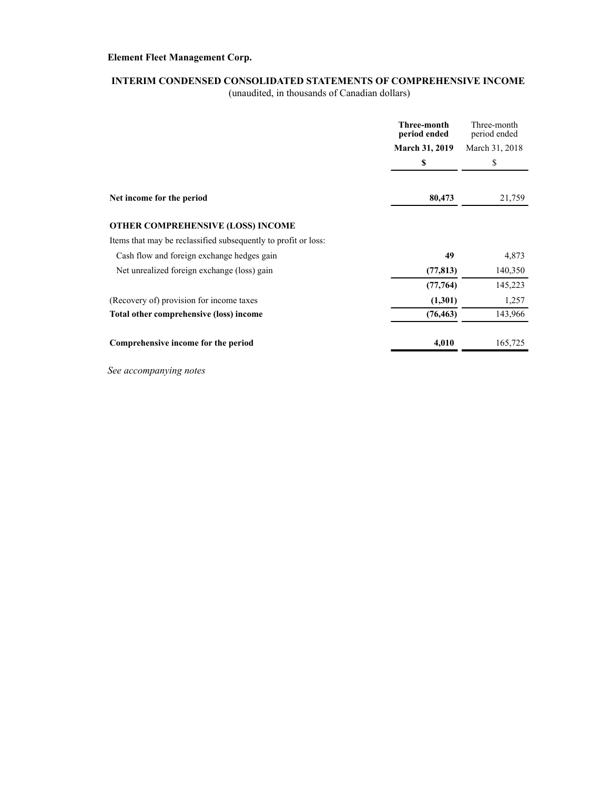### **INTERIM CONDENSED CONSOLIDATED STATEMENTS OF COMPREHENSIVE INCOME**

(unaudited, in thousands of Canadian dollars)

|                                                                | Three-month<br>period ended | Three-month<br>period ended |  |
|----------------------------------------------------------------|-----------------------------|-----------------------------|--|
|                                                                | <b>March 31, 2019</b>       | March 31, 2018              |  |
|                                                                | \$                          | \$                          |  |
| Net income for the period                                      | 80,473                      | 21,759                      |  |
|                                                                |                             |                             |  |
| OTHER COMPREHENSIVE (LOSS) INCOME                              |                             |                             |  |
| Items that may be reclassified subsequently to profit or loss: |                             |                             |  |
| Cash flow and foreign exchange hedges gain                     | 49                          | 4,873                       |  |
| Net unrealized foreign exchange (loss) gain                    | (77, 813)                   | 140,350                     |  |
|                                                                | (77, 764)                   | 145,223                     |  |
| (Recovery of) provision for income taxes                       | (1,301)                     | 1,257                       |  |
| Total other comprehensive (loss) income                        | (76, 463)                   | 143,966                     |  |
| Comprehensive income for the period                            | 4,010                       | 165,725                     |  |

*See accompanying notes*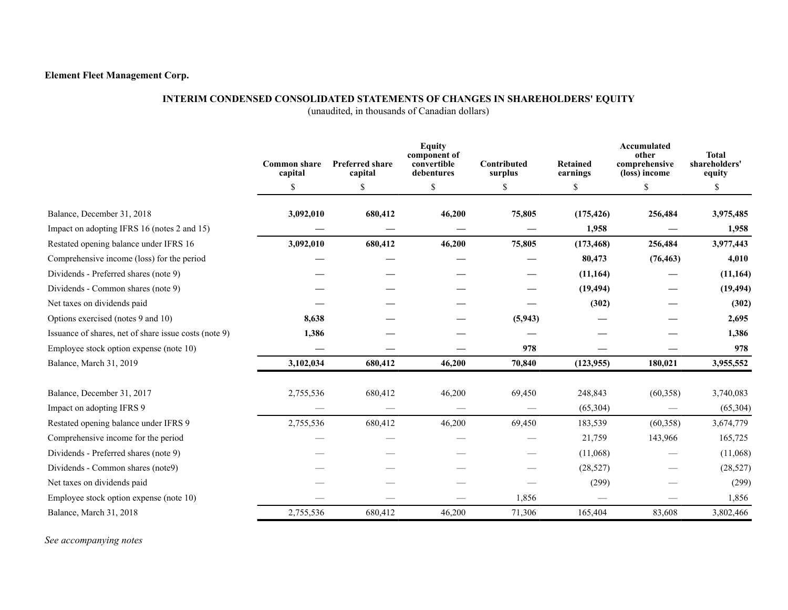#### **INTERIM CONDENSED CONSOLIDATED STATEMENTS OF CHANGES IN SHAREHOLDERS' EQUITY**

(unaudited, in thousands of Canadian dollars)

|                                                       | <b>Common share</b><br>capital | <b>Preferred share</b><br>capital | <b>Equity</b><br>component of<br>convertible<br>debentures | Contributed<br>surplus | <b>Retained</b><br>earnings | Accumulated<br>other<br>comprehensive<br>(loss) income | <b>Total</b><br>shareholders'<br>equity |
|-------------------------------------------------------|--------------------------------|-----------------------------------|------------------------------------------------------------|------------------------|-----------------------------|--------------------------------------------------------|-----------------------------------------|
|                                                       | \$                             | \$                                | \$                                                         | \$                     | \$                          | \$                                                     | \$                                      |
| Balance, December 31, 2018                            | 3,092,010                      | 680,412                           | 46,200                                                     | 75,805                 | (175, 426)                  | 256,484                                                | 3,975,485                               |
| Impact on adopting IFRS 16 (notes 2 and 15)           |                                |                                   |                                                            |                        | 1,958                       |                                                        | 1,958                                   |
| Restated opening balance under IFRS 16                | 3,092,010                      | 680,412                           | 46,200                                                     | 75,805                 | (173, 468)                  | 256,484                                                | 3,977,443                               |
| Comprehensive income (loss) for the period            |                                |                                   |                                                            |                        | 80,473                      | (76, 463)                                              | 4,010                                   |
| Dividends - Preferred shares (note 9)                 |                                |                                   |                                                            |                        | (11, 164)                   |                                                        | (11, 164)                               |
| Dividends - Common shares (note 9)                    |                                |                                   |                                                            |                        | (19, 494)                   |                                                        | (19, 494)                               |
| Net taxes on dividends paid                           |                                |                                   |                                                            |                        | (302)                       |                                                        | (302)                                   |
| Options exercised (notes 9 and 10)                    | 8,638                          |                                   |                                                            | (5, 943)               |                             |                                                        | 2,695                                   |
| Issuance of shares, net of share issue costs (note 9) | 1,386                          |                                   |                                                            |                        |                             |                                                        | 1,386                                   |
| Employee stock option expense (note 10)               |                                |                                   |                                                            | 978                    |                             |                                                        | 978                                     |
| Balance, March 31, 2019                               | 3,102,034                      | 680,412                           | 46,200                                                     | 70,840                 | (123, 955)                  | 180,021                                                | 3,955,552                               |
| Balance, December 31, 2017                            | 2,755,536                      | 680,412                           | 46,200                                                     | 69,450                 | 248,843                     | (60, 358)                                              | 3,740,083                               |
| Impact on adopting IFRS 9                             |                                |                                   |                                                            |                        | (65, 304)                   |                                                        | (65, 304)                               |
| Restated opening balance under IFRS 9                 | 2,755,536                      | 680,412                           | 46,200                                                     | 69,450                 | 183,539                     | (60, 358)                                              | 3,674,779                               |
| Comprehensive income for the period                   |                                |                                   |                                                            |                        | 21,759                      | 143,966                                                | 165,725                                 |
| Dividends - Preferred shares (note 9)                 |                                |                                   |                                                            |                        | (11,068)                    |                                                        | (11,068)                                |
| Dividends - Common shares (note9)                     |                                |                                   |                                                            |                        | (28, 527)                   |                                                        | (28, 527)                               |
| Net taxes on dividends paid                           |                                |                                   |                                                            |                        | (299)                       |                                                        | (299)                                   |
| Employee stock option expense (note 10)               |                                |                                   |                                                            | 1,856                  |                             |                                                        | 1,856                                   |
| Balance, March 31, 2018                               | 2,755,536                      | 680,412                           | 46,200                                                     | 71,306                 | 165,404                     | 83,608                                                 | 3,802,466                               |

*See accompanying notes*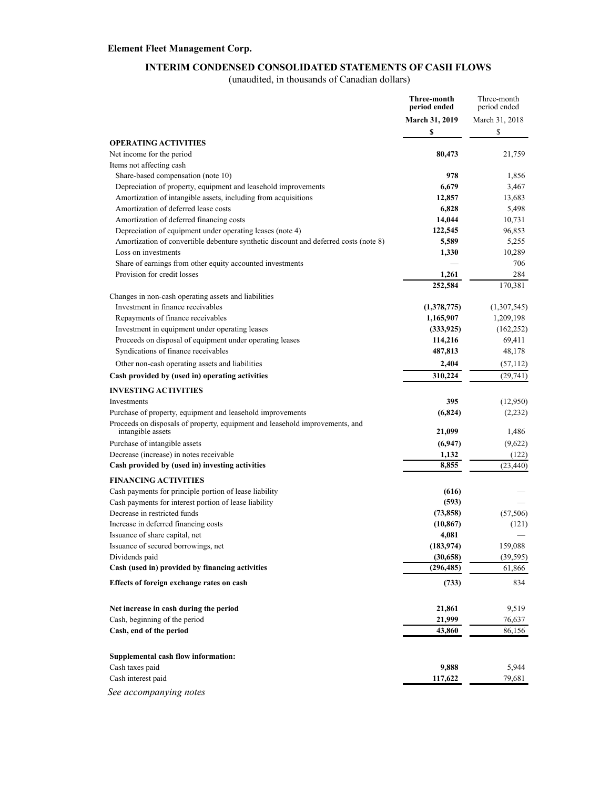### **INTERIM CONDENSED CONSOLIDATED STATEMENTS OF CASH FLOWS**

(unaudited, in thousands of Canadian dollars)

|                                                                                                   | Three-month<br>period ended | Three-month<br>period ended |
|---------------------------------------------------------------------------------------------------|-----------------------------|-----------------------------|
|                                                                                                   | March 31, 2019              | March 31, 2018              |
|                                                                                                   | \$                          | \$                          |
| <b>OPERATING ACTIVITIES</b>                                                                       |                             |                             |
| Net income for the period                                                                         | 80,473                      | 21,759                      |
| Items not affecting cash                                                                          |                             |                             |
| Share-based compensation (note 10)                                                                | 978                         | 1,856                       |
| Depreciation of property, equipment and leasehold improvements                                    | 6,679                       | 3,467                       |
| Amortization of intangible assets, including from acquisitions                                    | 12,857                      | 13,683                      |
| Amortization of deferred lease costs                                                              | 6,828                       | 5,498                       |
| Amortization of deferred financing costs                                                          | 14,044                      | 10,731                      |
| Depreciation of equipment under operating leases (note 4)                                         | 122,545                     | 96,853                      |
| Amortization of convertible debenture synthetic discount and deferred costs (note 8)              | 5,589                       | 5,255                       |
| Loss on investments                                                                               | 1,330                       | 10,289                      |
| Share of earnings from other equity accounted investments                                         |                             | 706                         |
| Provision for credit losses                                                                       | 1,261                       | 284                         |
|                                                                                                   | 252,584                     | 170,381                     |
| Changes in non-cash operating assets and liabilities                                              |                             |                             |
| Investment in finance receivables                                                                 | (1,378,775)                 | (1,307,545)                 |
| Repayments of finance receivables                                                                 | 1,165,907                   | 1,209,198                   |
| Investment in equipment under operating leases                                                    | (333, 925)                  | (162, 252)                  |
| Proceeds on disposal of equipment under operating leases                                          | 114,216                     | 69,411                      |
| Syndications of finance receivables                                                               | 487,813                     | 48,178                      |
| Other non-cash operating assets and liabilities                                                   | 2,404                       | (57, 112)                   |
| Cash provided by (used in) operating activities                                                   | 310,224                     | (29,741)                    |
| <b>INVESTING ACTIVITIES</b>                                                                       |                             |                             |
| Investments                                                                                       | 395                         | (12,950)                    |
| Purchase of property, equipment and leasehold improvements                                        | (6,824)                     | (2,232)                     |
| Proceeds on disposals of property, equipment and leasehold improvements, and<br>intangible assets | 21,099                      | 1,486                       |
| Purchase of intangible assets                                                                     | (6,947)                     | (9,622)                     |
| Decrease (increase) in notes receivable                                                           | 1,132                       | (122)                       |
| Cash provided by (used in) investing activities                                                   | 8,855                       | (23, 440)                   |
| <b>FINANCING ACTIVITIES</b>                                                                       |                             |                             |
| Cash payments for principle portion of lease liability                                            | (616)                       |                             |
| Cash payments for interest portion of lease liability                                             | (593)                       |                             |
| Decrease in restricted funds                                                                      | (73, 858)                   | (57, 506)                   |
| Increase in deferred financing costs                                                              | (10, 867)                   | (121)                       |
| Issuance of share capital, net                                                                    | 4,081                       |                             |
| Issuance of secured borrowings, net                                                               | (183, 974)                  | 159,088                     |
| Dividends paid                                                                                    | (30, 658)                   | (39, 595)                   |
| Cash (used in) provided by financing activities                                                   | (296, 485)                  | 61,866                      |
| Effects of foreign exchange rates on cash                                                         | (733)                       | 834                         |
|                                                                                                   |                             |                             |
| Net increase in cash during the period                                                            | 21,861                      | 9,519                       |
| Cash, beginning of the period                                                                     | 21,999                      | 76,637                      |
| Cash, end of the period                                                                           | 43,860                      | 86,156                      |
| Supplemental cash flow information:                                                               |                             |                             |
| Cash taxes paid                                                                                   | 9,888                       | 5,944                       |
| Cash interest paid                                                                                | 117,622                     | 79,681                      |
| See accompanying notes                                                                            |                             |                             |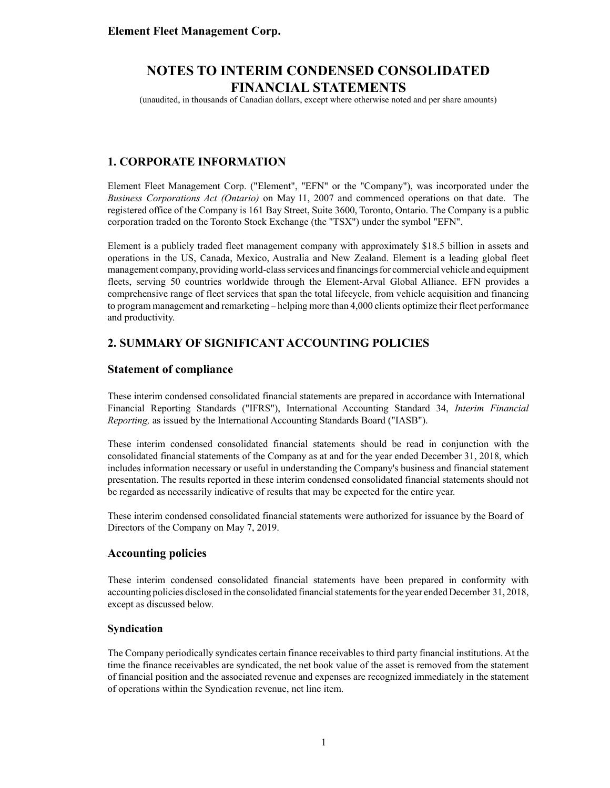(unaudited, in thousands of Canadian dollars, except where otherwise noted and per share amounts)

### **1. CORPORATE INFORMATION**

Element Fleet Management Corp. ("Element", "EFN" or the "Company"), was incorporated under the *Business Corporations Act (Ontario)* on May 11, 2007 and commenced operations on that date. The registered office of the Company is 161 Bay Street, Suite 3600, Toronto, Ontario. The Company is a public corporation traded on the Toronto Stock Exchange (the "TSX") under the symbol "EFN".

Element is a publicly traded fleet management company with approximately \$18.5 billion in assets and operations in the US, Canada, Mexico, Australia and New Zealand. Element is a leading global fleet management company, providing world-class services and financings for commercial vehicle and equipment fleets, serving 50 countries worldwide through the Element-Arval Global Alliance. EFN provides a comprehensive range of fleet services that span the total lifecycle, from vehicle acquisition and financing to program management and remarketing – helping more than 4,000 clients optimize their fleet performance and productivity.

### **2. SUMMARY OF SIGNIFICANT ACCOUNTING POLICIES**

#### **Statement of compliance**

These interim condensed consolidated financial statements are prepared in accordance with International Financial Reporting Standards ("IFRS"), International Accounting Standard 34, *Interim Financial Reporting,* as issued by the International Accounting Standards Board ("IASB").

These interim condensed consolidated financial statements should be read in conjunction with the consolidated financial statements of the Company as at and for the year ended December 31, 2018, which includes information necessary or useful in understanding the Company's business and financial statement presentation. The results reported in these interim condensed consolidated financial statements should not be regarded as necessarily indicative of results that may be expected for the entire year.

These interim condensed consolidated financial statements were authorized for issuance by the Board of Directors of the Company on May 7, 2019.

#### **Accounting policies**

These interim condensed consolidated financial statements have been prepared in conformity with accounting policies disclosed in the consolidated financial statements for the year ended December 31, 2018, except as discussed below.

#### **Syndication**

The Company periodically syndicates certain finance receivables to third party financial institutions. At the time the finance receivables are syndicated, the net book value of the asset is removed from the statement of financial position and the associated revenue and expenses are recognized immediately in the statement of operations within the Syndication revenue, net line item.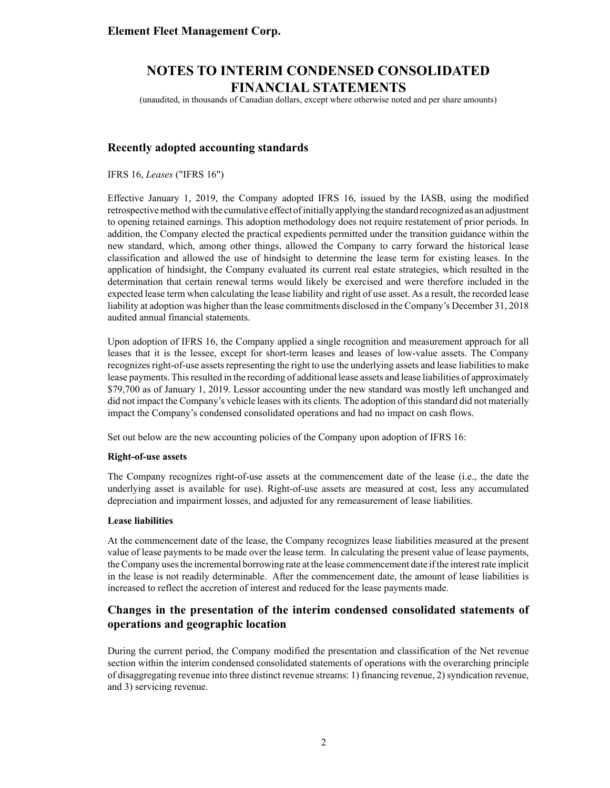(unaudited, in thousands of Canadian dollars, except where otherwise noted and per share amounts)

#### **Recently adopted accounting standards**

IFRS 16, *Leases* ("IFRS 16")

Effective January 1, 2019, the Company adopted IFRS 16, issued by the IASB, using the modified retrospective method with the cumulative effect of initially applying the standard recognized as an adjustment to opening retained earnings. This adoption methodology does not require restatement of prior periods. In addition, the Company elected the practical expedients permitted under the transition guidance within the new standard, which, among other things, allowed the Company to carry forward the historical lease classification and allowed the use of hindsight to determine the lease term for existing leases. In the application of hindsight, the Company evaluated its current real estate strategies, which resulted in the determination that certain renewal terms would likely be exercised and were therefore included in the expected lease term when calculating the lease liability and right of use asset. As a result, the recorded lease liability at adoption was higher than the lease commitments disclosed in the Company's December 31, 2018 audited annual financial statements.

Upon adoption of IFRS 16, the Company applied a single recognition and measurement approach for all leases that it is the lessee, except for short-term leases and leases of low-value assets. The Company recognizes right-of-use assets representing the right to use the underlying assets and lease liabilities to make lease payments. This resulted in the recording of additional lease assets and lease liabilities of approximately \$79,700 as of January 1, 2019. Lessor accounting under the new standard was mostly left unchanged and did not impact the Company's vehicle leases with its clients. The adoption of this standard did not materially impact the Company's condensed consolidated operations and had no impact on cash flows.

Set out below are the new accounting policies of the Company upon adoption of IFRS 16:

#### **Right-of-use assets**

The Company recognizes right-of-use assets at the commencement date of the lease (i.e., the date the underlying asset is available for use). Right-of-use assets are measured at cost, less any accumulated depreciation and impairment losses, and adjusted for any remeasurement of lease liabilities.

#### **Lease liabilities**

At the commencement date of the lease, the Company recognizes lease liabilities measured at the present value of lease payments to be made over the lease term. In calculating the present value of lease payments, the Company uses the incremental borrowing rate at the lease commencement date if the interest rate implicit in the lease is not readily determinable. After the commencement date, the amount of lease liabilities is increased to reflect the accretion of interest and reduced for the lease payments made.

#### **Changes in the presentation of the interim condensed consolidated statements of operations and geographic location**

During the current period, the Company modified the presentation and classification of the Net revenue section within the interim condensed consolidated statements of operations with the overarching principle of disaggregating revenue into three distinct revenue streams: 1) financing revenue, 2) syndication revenue, and 3) servicing revenue.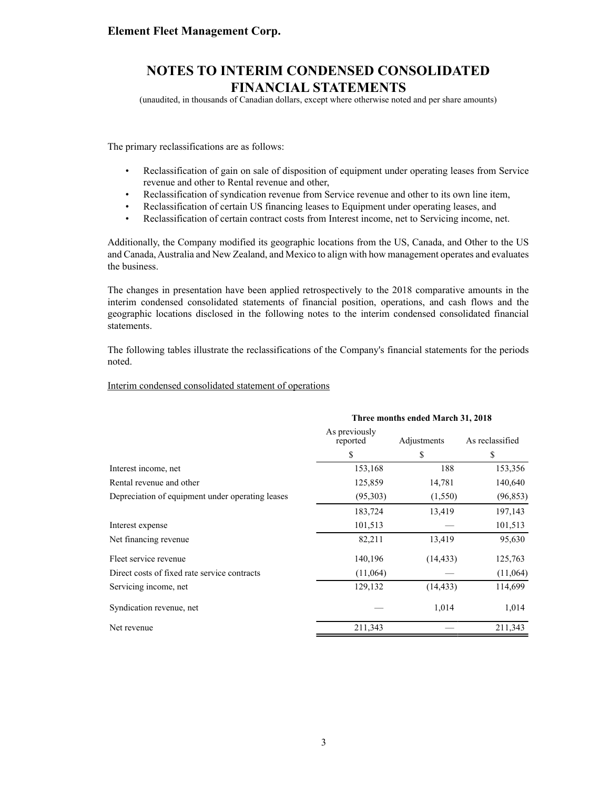(unaudited, in thousands of Canadian dollars, except where otherwise noted and per share amounts)

The primary reclassifications are as follows:

- Reclassification of gain on sale of disposition of equipment under operating leases from Service revenue and other to Rental revenue and other,
- Reclassification of syndication revenue from Service revenue and other to its own line item,
- Reclassification of certain US financing leases to Equipment under operating leases, and
- Reclassification of certain contract costs from Interest income, net to Servicing income, net.

Additionally, the Company modified its geographic locations from the US, Canada, and Other to the US and Canada, Australia and New Zealand, and Mexico to align with how management operates and evaluates the business.

The changes in presentation have been applied retrospectively to the 2018 comparative amounts in the interim condensed consolidated statements of financial position, operations, and cash flows and the geographic locations disclosed in the following notes to the interim condensed consolidated financial statements.

The following tables illustrate the reclassifications of the Company's financial statements for the periods noted.

#### Interim condensed consolidated statement of operations

|                                                  | Three months ended March 31, 2018 |             |                 |  |
|--------------------------------------------------|-----------------------------------|-------------|-----------------|--|
|                                                  | As previously<br>reported         | Adjustments | As reclassified |  |
|                                                  | S                                 | \$          | S               |  |
| Interest income, net                             | 153,168                           | 188         | 153,356         |  |
| Rental revenue and other                         | 125,859                           | 14,781      | 140,640         |  |
| Depreciation of equipment under operating leases | (95,303)                          | (1,550)     | (96, 853)       |  |
|                                                  | 183,724                           | 13,419      | 197,143         |  |
| Interest expense                                 | 101,513                           |             | 101,513         |  |
| Net financing revenue                            | 82,211                            | 13,419      | 95,630          |  |
| Fleet service revenue                            | 140,196                           | (14, 433)   | 125,763         |  |
| Direct costs of fixed rate service contracts     | (11,064)                          |             | (11,064)        |  |
| Servicing income, net                            | 129,132                           | (14, 433)   | 114,699         |  |
| Syndication revenue, net                         |                                   | 1,014       | 1,014           |  |
| Net revenue                                      | 211,343                           |             | 211,343         |  |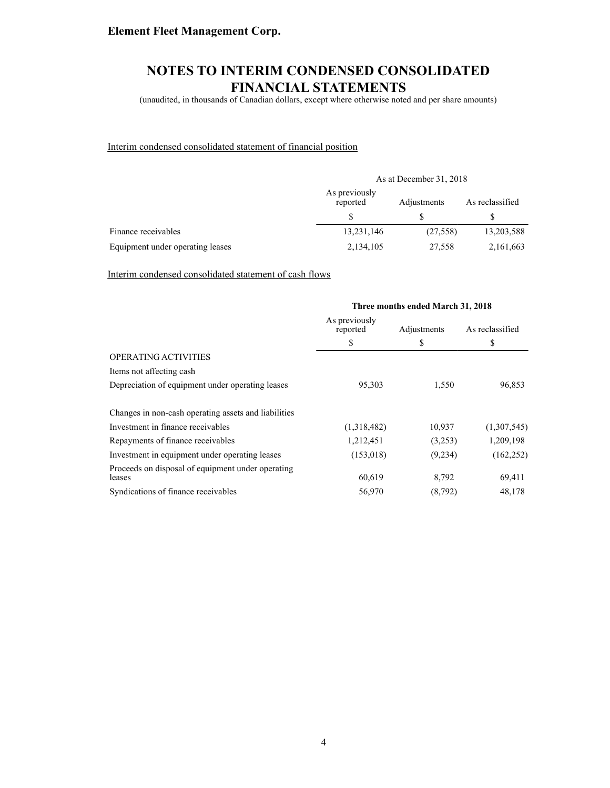# **NOTES TO INTERIM CONDENSED CONSOLIDATED FINANCIAL STATEMENTS**

(unaudited, in thousands of Canadian dollars, except where otherwise noted and per share amounts)

#### Interim condensed consolidated statement of financial position

|                                  | As at December 31, 2018   |             |                 |  |  |
|----------------------------------|---------------------------|-------------|-----------------|--|--|
|                                  | As previously<br>reported | Adjustments | As reclassified |  |  |
|                                  |                           |             |                 |  |  |
| Finance receivables              | 13,231,146                | (27, 558)   | 13,203,588      |  |  |
| Equipment under operating leases | 2,134,105                 | 27,558      | 2,161,663       |  |  |

Interim condensed consolidated statement of cash flows

|                                                             | Three months ended March 31, 2018 |             |                 |  |
|-------------------------------------------------------------|-----------------------------------|-------------|-----------------|--|
|                                                             | As previously<br>reported         | Adjustments | As reclassified |  |
|                                                             | S                                 | S           | S               |  |
| OPERATING ACTIVITIES                                        |                                   |             |                 |  |
| Items not affecting cash                                    |                                   |             |                 |  |
| Depreciation of equipment under operating leases            | 95,303                            | 1,550       | 96,853          |  |
| Changes in non-cash operating assets and liabilities        |                                   |             |                 |  |
| Investment in finance receivables                           | (1,318,482)                       | 10,937      | (1,307,545)     |  |
| Repayments of finance receivables                           | 1,212,451                         | (3,253)     | 1,209,198       |  |
| Investment in equipment under operating leases              | (153,018)                         | (9,234)     | (162, 252)      |  |
| Proceeds on disposal of equipment under operating<br>leases | 60,619                            | 8,792       | 69,411          |  |
| Syndications of finance receivables                         | 56,970                            | (8, 792)    | 48,178          |  |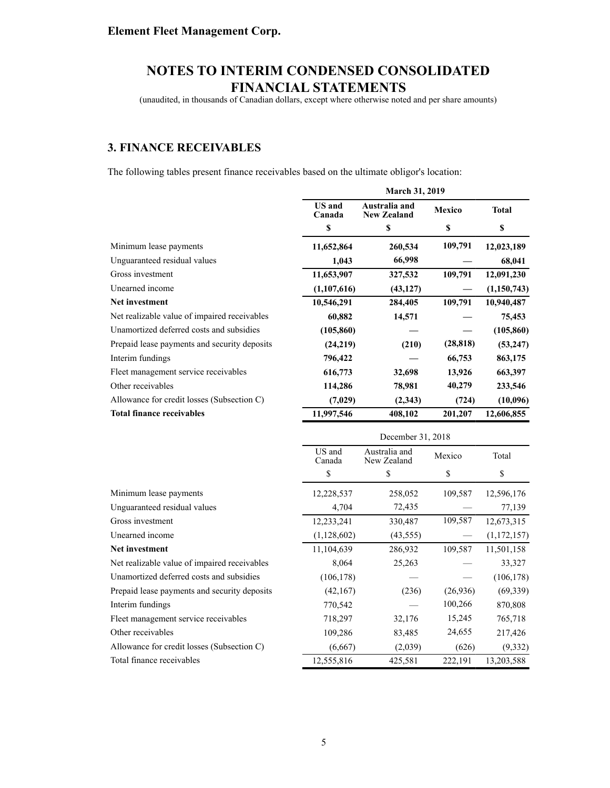(unaudited, in thousands of Canadian dollars, except where otherwise noted and per share amounts)

### **3. FINANCE RECEIVABLES**

The following tables present finance receivables based on the ultimate obligor's location:

|                                              |                         | March 31, 2019                      |           |               |  |
|----------------------------------------------|-------------------------|-------------------------------------|-----------|---------------|--|
|                                              | <b>US</b> and<br>Canada | Australia and<br><b>New Zealand</b> | Mexico    | <b>Total</b>  |  |
|                                              | \$                      | $\boldsymbol{\mathsf{s}}$           | \$        | \$            |  |
| Minimum lease payments                       | 11,652,864              | 260,534                             | 109,791   | 12,023,189    |  |
| Unguaranteed residual values                 | 1,043                   | 66,998                              |           | 68,041        |  |
| Gross investment                             | 11,653,907              | 327,532                             | 109,791   | 12,091,230    |  |
| Unearned income                              | (1, 107, 616)           | (43, 127)                           |           | (1,150,743)   |  |
| Net investment                               | 10,546,291              | 284,405                             | 109,791   | 10,940,487    |  |
| Net realizable value of impaired receivables | 60,882                  | 14,571                              |           | 75,453        |  |
| Unamortized deferred costs and subsidies     | (105, 860)              |                                     |           | (105, 860)    |  |
| Prepaid lease payments and security deposits | (24, 219)               | (210)                               | (28, 818) | (53, 247)     |  |
| Interim fundings                             | 796,422                 |                                     | 66,753    | 863,175       |  |
| Fleet management service receivables         | 616,773                 | 32,698                              | 13,926    | 663,397       |  |
| Other receivables                            | 114,286                 | 78,981                              | 40,279    | 233,546       |  |
| Allowance for credit losses (Subsection C)   | (7,029)                 | (2,343)                             | (724)     | (10,096)      |  |
| <b>Total finance receivables</b>             | 11,997,546              | 408,102                             | 201,207   | 12,606,855    |  |
|                                              |                         | December 31, 2018                   |           |               |  |
|                                              | US and<br>Canada        | Australia and<br>New Zealand        | Mexico    | Total         |  |
|                                              | \$                      | \$                                  | \$        | \$            |  |
| Minimum lease payments                       | 12,228,537              | 258,052                             | 109,587   | 12,596,176    |  |
| Unguaranteed residual values                 | 4,704                   | 72,435                              |           | 77,139        |  |
| Gross investment                             | 12,233,241              | 330,487                             | 109,587   | 12,673,315    |  |
| Unearned income                              | (1, 128, 602)           | (43, 555)                           |           | (1, 172, 157) |  |
| Net investment                               | 11,104,639              | 286,932                             | 109,587   | 11,501,158    |  |
| Net realizable value of impaired receivables | 8,064                   | 25,263                              |           | 33,327        |  |
| Unamortized deferred costs and subsidies     | (106, 178)              |                                     |           | (106, 178)    |  |
| Prepaid lease payments and security deposits | (42, 167)               | (236)                               | (26,936)  | (69, 339)     |  |
| Interim fundings                             | 770,542                 |                                     | 100,266   | 870,808       |  |
| Fleet management service receivables         | 718,297                 | 32,176                              | 15,245    | 765,718       |  |
| Other receivables                            | 109,286                 | 83,485                              | 24,655    | 217,426       |  |
| Allowance for credit losses (Subsection C)   | (6,667)                 | (2,039)                             | (626)     | (9, 332)      |  |
| Total finance receivables                    | 12,555,816              | 425,581                             | 222,191   | 13,203,588    |  |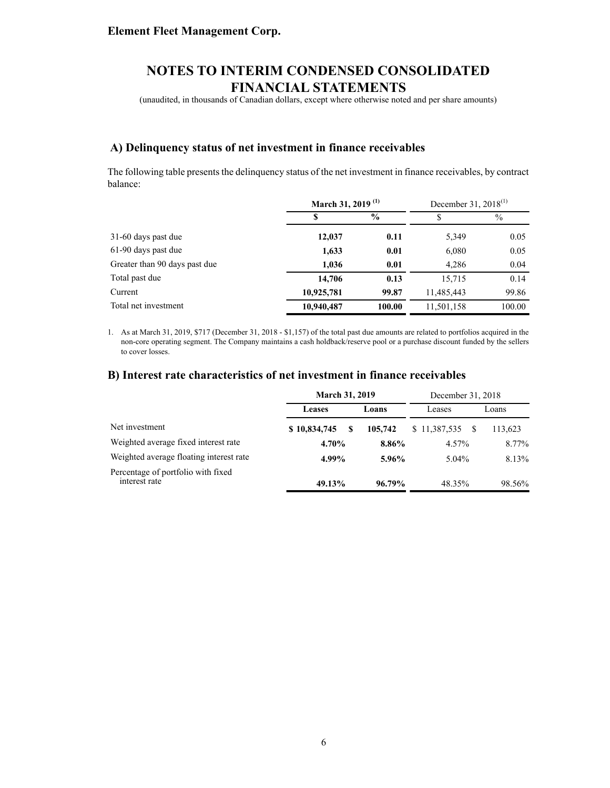(unaudited, in thousands of Canadian dollars, except where otherwise noted and per share amounts)

#### **A) Delinquency status of net investment in finance receivables**

The following table presents the delinquency status of the net investment in finance receivables, by contract balance:

|                               | March 31, 2019 <sup>(1)</sup> |               | December 31, 2018 <sup>(1)</sup> |               |
|-------------------------------|-------------------------------|---------------|----------------------------------|---------------|
|                               | S                             | $\frac{6}{9}$ | S                                | $\frac{0}{0}$ |
| 31-60 days past due           | 12,037                        | 0.11          | 5,349                            | 0.05          |
| 61-90 days past due           | 1,633                         | 0.01          | 6,080                            | 0.05          |
| Greater than 90 days past due | 1,036                         | 0.01          | 4,286                            | 0.04          |
| Total past due                | 14,706                        | 0.13          | 15,715                           | 0.14          |
| Current                       | 10,925,781                    | 99.87         | 11,485,443                       | 99.86         |
| Total net investment          | 10,940,487                    | 100.00        | 11,501,158                       | 100.00        |

1. As at March 31, 2019, \$717 (December 31, 2018 - \$1,157) of the total past due amounts are related to portfolios acquired in the non-core operating segment. The Company maintains a cash holdback/reserve pool or a purchase discount funded by the sellers to cover losses.

#### **B) Interest rate characteristics of net investment in finance receivables**

|                                                     | <b>March 31, 2019</b> |         | December 31, 2018 |         |
|-----------------------------------------------------|-----------------------|---------|-------------------|---------|
|                                                     | <b>Leases</b>         | Loans   | Leases            | Loans   |
| Net investment                                      | \$10,834,745<br>-S    | 105,742 | \$11,387,535      | 113,623 |
| Weighted average fixed interest rate                | 4.70%                 | 8.86%   | 4.57%             | 8.77%   |
| Weighted average floating interest rate             | 4.99%                 | 5.96%   | $5.04\%$          | 8.13%   |
| Percentage of portfolio with fixed<br>interest rate | 49.13%                | 96.79%  | 48.35%            | 98.56%  |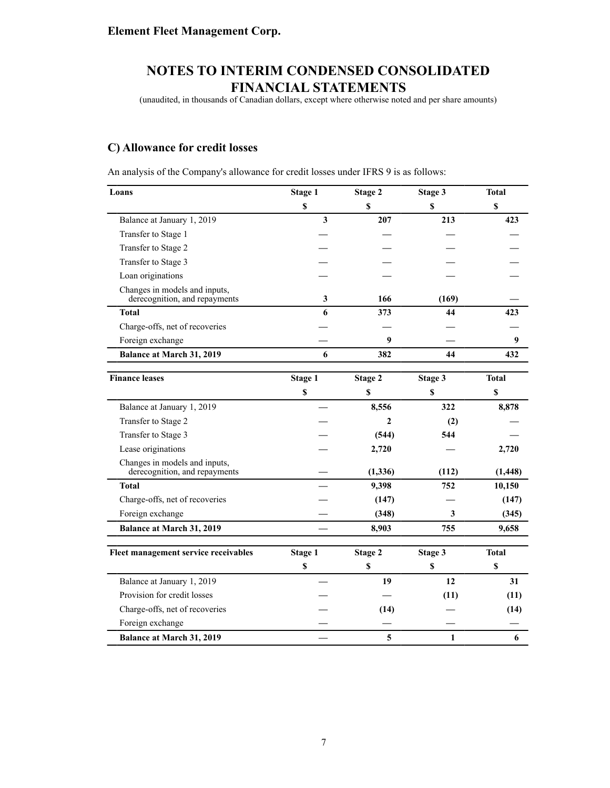(unaudited, in thousands of Canadian dollars, except where otherwise noted and per share amounts)

### **C) Allowance for credit losses**

An analysis of the Company's allowance for credit losses under IFRS 9 is as follows:

| Loans                                                          | <b>Stage 1</b> | Stage 2     | Stage 3  | <b>Total</b> |
|----------------------------------------------------------------|----------------|-------------|----------|--------------|
|                                                                | \$             | \$          | \$       | \$           |
| Balance at January 1, 2019                                     | 3              | 207         | 213      | 423          |
| Transfer to Stage 1                                            |                |             |          |              |
| Transfer to Stage 2                                            |                |             |          |              |
| Transfer to Stage 3                                            |                |             |          |              |
| Loan originations                                              |                |             |          |              |
| Changes in models and inputs,<br>derecognition, and repayments | 3              | 166         | (169)    |              |
| <b>Total</b>                                                   | 6              | 373         | 44       | 423          |
| Charge-offs, net of recoveries                                 |                |             |          |              |
| Foreign exchange                                               |                | 9           |          | 9            |
| Balance at March 31, 2019                                      | 6              | 382         | 44       | 432          |
| <b>Finance leases</b>                                          | Stage 1        | Stage 2     | Stage 3  | <b>Total</b> |
|                                                                | \$             | $\mathbf S$ | <b>S</b> | $\mathbf S$  |
| Balance at January 1, 2019                                     |                | 8,556       | 322      | 8,878        |
| Transfer to Stage 2                                            |                | 2           | (2)      |              |
| Transfer to Stage 3                                            |                | (544)       | 544      |              |
| Lease originations                                             |                | 2,720       |          | 2,720        |
| Changes in models and inputs,<br>derecognition, and repayments |                | (1, 336)    | (112)    | (1, 448)     |
| <b>Total</b>                                                   |                | 9,398       | 752      | 10,150       |
| Charge-offs, net of recoveries                                 |                | (147)       |          | (147)        |
| Foreign exchange                                               |                | (348)       | 3        | (345)        |
| Balance at March 31, 2019                                      |                | 8,903       | 755      | 9,658        |
| Fleet management service receivables                           | Stage 1        | Stage 2     | Stage 3  | <b>Total</b> |
|                                                                | $\mathbb S$    | \$          | \$       | $\mathbb S$  |
| Balance at January 1, 2019                                     |                | 19          | 12       | 31           |
| Provision for credit losses                                    |                |             | (11)     | (11)         |
| Charge-offs, net of recoveries                                 |                | (14)        |          | (14)         |
| Foreign exchange                                               |                |             |          |              |
| <b>Balance at March 31, 2019</b>                               |                | 5           | 1        | 6            |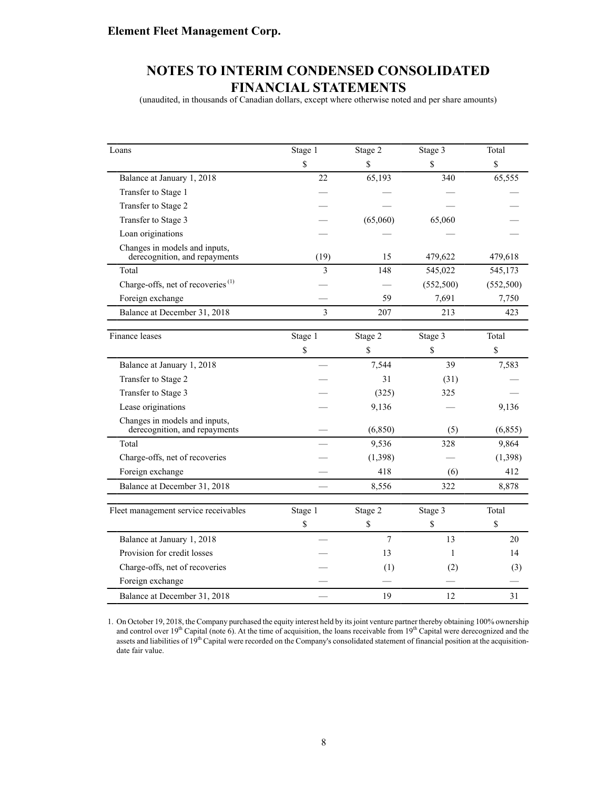(unaudited, in thousands of Canadian dollars, except where otherwise noted and per share amounts)

| Loans                                                          | Stage 1 | Stage 2  | Stage 3     | Total      |
|----------------------------------------------------------------|---------|----------|-------------|------------|
|                                                                | \$      | \$       | $\mathbf S$ | \$         |
| Balance at January 1, 2018                                     | 22      | 65,193   | 340         | 65,555     |
| Transfer to Stage 1                                            |         |          |             |            |
| Transfer to Stage 2                                            |         |          |             |            |
| Transfer to Stage 3                                            |         | (65,060) | 65,060      |            |
| Loan originations                                              |         |          |             |            |
| Changes in models and inputs,<br>derecognition, and repayments | (19)    | 15       | 479,622     | 479,618    |
| Total                                                          | 3       | 148      | 545,022     | 545,173    |
| Charge-offs, net of recoveries $^{(1)}$                        |         |          | (552, 500)  | (552, 500) |
| Foreign exchange                                               |         | 59       | 7,691       | 7,750      |
| Balance at December 31, 2018                                   | 3       | 207      | 213         | 423        |
|                                                                |         |          |             |            |
| Finance leases                                                 | Stage 1 | Stage 2  | Stage 3     | Total      |
|                                                                | \$      | \$       | \$          | \$         |
| Balance at January 1, 2018                                     |         | 7,544    | 39          | 7,583      |
| Transfer to Stage 2                                            |         | 31       | (31)        |            |
| Transfer to Stage 3                                            |         | (325)    | 325         |            |
| Lease originations                                             |         | 9,136    |             | 9,136      |
| Changes in models and inputs,<br>derecognition, and repayments |         | (6, 850) | (5)         | (6, 855)   |
| Total                                                          |         | 9,536    | 328         | 9,864      |
| Charge-offs, net of recoveries                                 |         | (1,398)  |             | (1,398)    |
| Foreign exchange                                               |         | 418      | (6)         | 412        |
| Balance at December 31, 2018                                   |         | 8,556    | 322         | 8,878      |
|                                                                |         |          |             |            |
| Fleet management service receivables                           | Stage 1 | Stage 2  | Stage 3     | Total      |
|                                                                | \$      | \$       | \$          | \$         |
| Balance at January 1, 2018                                     |         | 7        | 13          | 20         |
| Provision for credit losses                                    |         | 13       | 1           | 14         |
| Charge-offs, net of recoveries                                 |         | (1)      | (2)         | (3)        |
| Foreign exchange                                               |         |          |             |            |
| Balance at December 31, 2018                                   |         | 19       | 12          | 31         |

1. On October 19, 2018, the Company purchased the equity interest held by its joint venture partner thereby obtaining 100% ownership and control over 19<sup>th</sup> Capital (note 6). At the time of acquisition, the loans receivable from 19<sup>th</sup> Capital were derecognized and the assets and liabilities of 19<sup>th</sup> Capital were recorded on the Company's consolidated statement of financial position at the acquisitiondate fair value.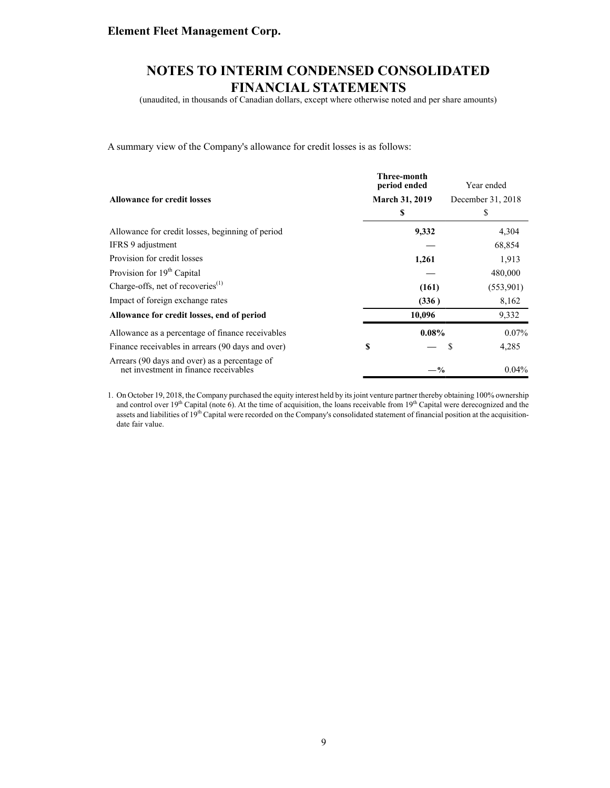(unaudited, in thousands of Canadian dollars, except where otherwise noted and per share amounts)

A summary view of the Company's allowance for credit losses is as follows:

|                                                                                        | Three-month<br>period ended | Year ended        |
|----------------------------------------------------------------------------------------|-----------------------------|-------------------|
| <b>Allowance for credit losses</b>                                                     | <b>March 31, 2019</b>       | December 31, 2018 |
|                                                                                        | \$                          | S                 |
| Allowance for credit losses, beginning of period                                       | 9,332                       | 4,304             |
| IFRS 9 adjustment                                                                      |                             | 68,854            |
| Provision for credit losses                                                            | 1,261                       | 1,913             |
| Provision for 19 <sup>th</sup> Capital                                                 |                             | 480,000           |
| Charge-offs, net of recoveries $^{(1)}$                                                | (161)                       | (553,901)         |
| Impact of foreign exchange rates                                                       | (336)                       | 8,162             |
| Allowance for credit losses, end of period                                             | 10,096                      | 9,332             |
| Allowance as a percentage of finance receivables                                       | $0.08\%$                    | $0.07\%$          |
| Finance receivables in arrears (90 days and over)                                      | \$                          | 4,285<br>S        |
| Arrears (90 days and over) as a percentage of<br>net investment in finance receivables | $-\%$                       | $0.04\%$          |

1. On October 19, 2018, the Company purchased the equity interest held by its joint venture partner thereby obtaining 100% ownership and control over 19<sup>th</sup> Capital (note 6). At the time of acquisition, the loans receivable from  $19<sup>th</sup>$  Capital were derecognized and the assets and liabilities of 19<sup>th</sup> Capital were recorded on the Company's consolidated statement of financial position at the acquisitiondate fair value.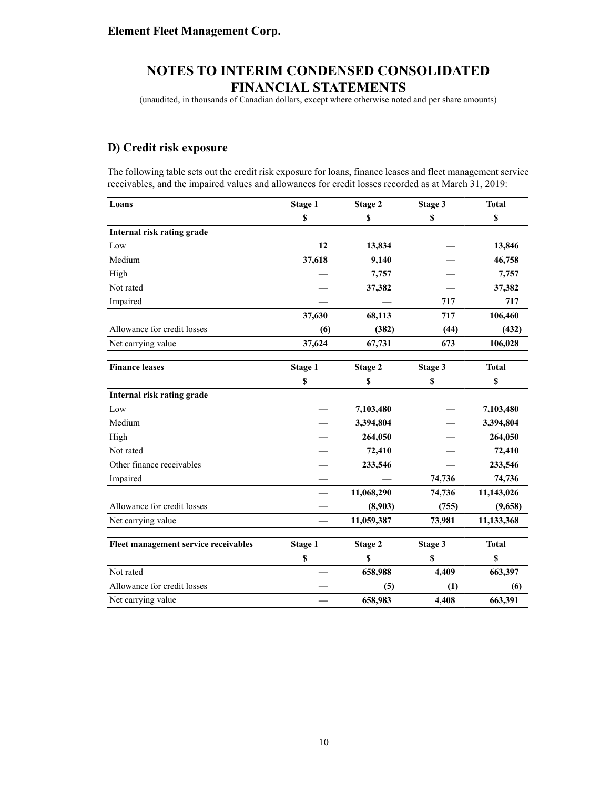(unaudited, in thousands of Canadian dollars, except where otherwise noted and per share amounts)

### **D) Credit risk exposure**

The following table sets out the credit risk exposure for loans, finance leases and fleet management service receivables, and the impaired values and allowances for credit losses recorded as at March 31, 2019:

| Loans                                | Stage 1        | Stage 2    | Stage 3          | <b>Total</b> |
|--------------------------------------|----------------|------------|------------------|--------------|
|                                      | \$             | \$         | \$               | \$           |
| Internal risk rating grade           |                |            |                  |              |
| Low                                  | 12             | 13,834     |                  | 13,846       |
| Medium                               | 37,618         | 9,140      |                  | 46,758       |
| High                                 |                | 7,757      |                  | 7,757        |
| Not rated                            |                | 37,382     |                  | 37,382       |
| Impaired                             |                |            | 717              | 717          |
|                                      | 37,630         | 68,113     | 717              | 106,460      |
| Allowance for credit losses          | (6)            | (382)      | (44)             | (432)        |
| Net carrying value                   | 37,624         | 67,731     | 673              | 106,028      |
| <b>Finance leases</b>                | <b>Stage 1</b> | Stage 2    | Stage 3          | <b>Total</b> |
|                                      | $\mathbb S$    | \$         | $\boldsymbol{s}$ | $\mathbb S$  |
| Internal risk rating grade           |                |            |                  |              |
| Low                                  |                | 7,103,480  |                  | 7,103,480    |
| Medium                               |                | 3,394,804  |                  | 3,394,804    |
| High                                 |                | 264,050    |                  | 264,050      |
| Not rated                            |                | 72,410     |                  | 72,410       |
| Other finance receivables            |                | 233,546    |                  | 233,546      |
| Impaired                             |                |            | 74,736           | 74,736       |
|                                      |                | 11,068,290 | 74,736           | 11,143,026   |
| Allowance for credit losses          |                | (8,903)    | (755)            | (9,658)      |
| Net carrying value                   |                | 11,059,387 | 73,981           | 11,133,368   |
| Fleet management service receivables | Stage 1        | Stage 2    | Stage 3          | <b>Total</b> |
|                                      | \$             | \$         | \$               | \$           |
| Not rated                            |                | 658,988    | 4,409            | 663,397      |
| Allowance for credit losses          |                | (5)        | (1)              | (6)          |
| Net carrying value                   |                | 658,983    | 4,408            | 663,391      |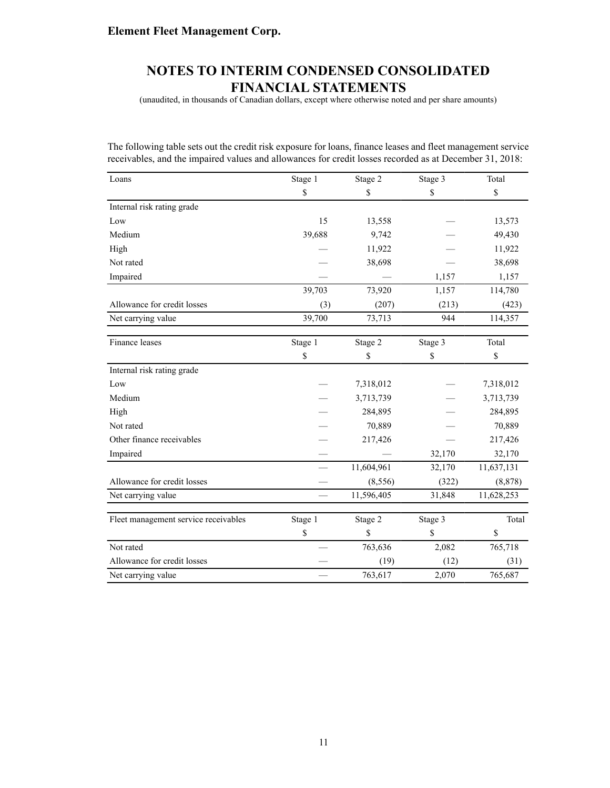(unaudited, in thousands of Canadian dollars, except where otherwise noted and per share amounts)

The following table sets out the credit risk exposure for loans, finance leases and fleet management service receivables, and the impaired values and allowances for credit losses recorded as at December 31, 2018:

| Loans                                | Stage 1       | Stage 2       | Stage 3       | Total      |
|--------------------------------------|---------------|---------------|---------------|------------|
|                                      | \$            | \$            | \$            | \$         |
| Internal risk rating grade           |               |               |               |            |
| Low                                  | 15            | 13,558        |               | 13,573     |
| Medium                               | 39,688        | 9,742         |               | 49,430     |
| High                                 |               | 11,922        |               | 11,922     |
| Not rated                            |               | 38,698        |               | 38,698     |
| Impaired                             |               |               | 1,157         | 1,157      |
|                                      | 39,703        | 73,920        | 1,157         | 114,780    |
| Allowance for credit losses          | (3)           | (207)         | (213)         | (423)      |
| Net carrying value                   | 39,700        | 73,713        | 944           | 114,357    |
|                                      |               |               |               |            |
| Finance leases                       | Stage 1       | Stage 2       | Stage 3       | Total      |
|                                      | \$            | \$            | \$            | \$         |
| Internal risk rating grade           |               |               |               |            |
| Low                                  |               | 7,318,012     |               | 7,318,012  |
| Medium                               |               | 3,713,739     |               | 3,713,739  |
| High                                 |               | 284,895       |               | 284,895    |
| Not rated                            |               | 70,889        |               | 70,889     |
| Other finance receivables            |               | 217,426       |               | 217,426    |
| Impaired                             |               |               | 32,170        | 32,170     |
|                                      |               | 11,604,961    | 32,170        | 11,637,131 |
| Allowance for credit losses          |               | (8,556)       | (322)         | (8, 878)   |
| Net carrying value                   |               | 11,596,405    | 31,848        | 11,628,253 |
|                                      |               |               |               | Total      |
| Fleet management service receivables | Stage 1<br>\$ | Stage 2<br>\$ | Stage 3<br>\$ |            |
| Not rated                            |               |               |               | \$         |
|                                      |               | 763,636       | 2,082         | 765,718    |
| Allowance for credit losses          |               | (19)          | (12)          | (31)       |
| Net carrying value                   |               | 763,617       | 2,070         | 765,687    |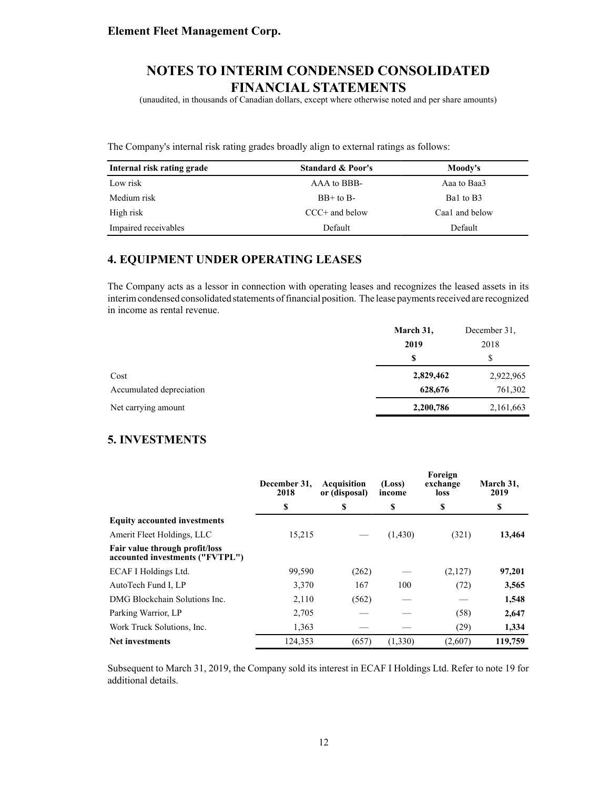(unaudited, in thousands of Canadian dollars, except where otherwise noted and per share amounts)

The Company's internal risk rating grades broadly align to external ratings as follows:

| Internal risk rating grade | <b>Standard &amp; Poor's</b> | Moody's        |
|----------------------------|------------------------------|----------------|
| Low risk                   | AAA to BBB-                  | Aaa to Baa3    |
| Medium risk                | $BB+$ to $B-$                | Bal to B3      |
| High risk                  | $CCC+$ and below             | Caa1 and below |
| Impaired receivables       | Default                      | Default        |

### **4. EQUIPMENT UNDER OPERATING LEASES**

The Company acts as a lessor in connection with operating leases and recognizes the leased assets in its interim condensed consolidated statements of financial position. The lease payments received are recognized in income as rental revenue.

|                          | March 31, | December 31. |
|--------------------------|-----------|--------------|
|                          | 2019      | 2018         |
|                          | \$        | S            |
| Cost                     | 2,829,462 | 2,922,965    |
| Accumulated depreciation | 628,676   | 761,302      |
| Net carrying amount      | 2,200,786 | 2,161,663    |

### **5. INVESTMENTS**

|                                                                   | December 31.<br>2018 | Acquisition<br>or (disposal) | (Loss)<br>income | Foreign<br>exchange<br>loss | March 31,<br>2019 |
|-------------------------------------------------------------------|----------------------|------------------------------|------------------|-----------------------------|-------------------|
|                                                                   | \$                   | \$                           | \$               | \$                          | \$                |
| <b>Equity accounted investments</b>                               |                      |                              |                  |                             |                   |
| Amerit Fleet Holdings, LLC                                        | 15,215               |                              | (1,430)          | (321)                       | 13,464            |
| Fair value through profit/loss<br>accounted investments ("FVTPL") |                      |                              |                  |                             |                   |
| ECAF I Holdings Ltd.                                              | 99,590               | (262)                        |                  | (2,127)                     | 97,201            |
| AutoTech Fund I, LP                                               | 3,370                | 167                          | 100              | (72)                        | 3,565             |
| DMG Blockchain Solutions Inc.                                     | 2,110                | (562)                        |                  |                             | 1,548             |
| Parking Warrior, LP                                               | 2,705                |                              |                  | (58)                        | 2,647             |
| Work Truck Solutions, Inc.                                        | 1,363                |                              |                  | (29)                        | 1,334             |
| <b>Net investments</b>                                            | 124,353              | (657)                        | (1,330)          | (2,607)                     | 119,759           |

Subsequent to March 31, 2019, the Company sold its interest in ECAF I Holdings Ltd. Refer to note 19 for additional details.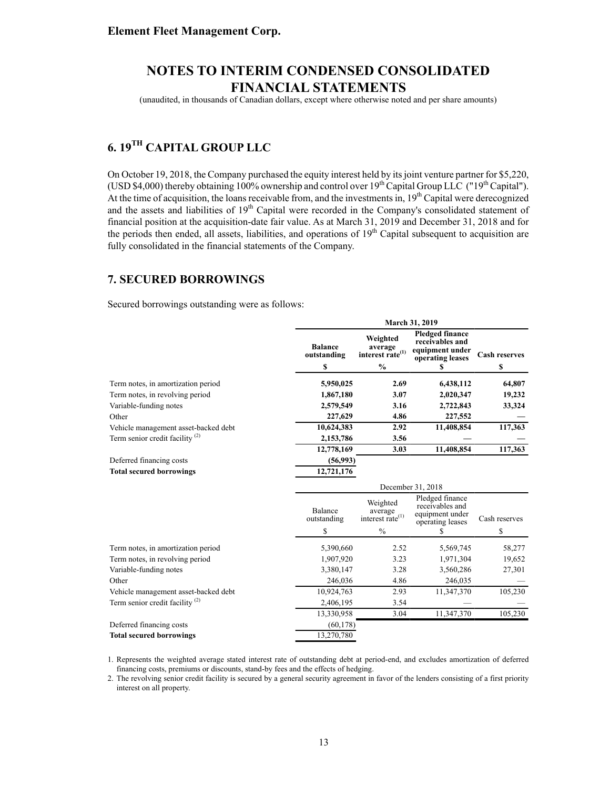(unaudited, in thousands of Canadian dollars, except where otherwise noted and per share amounts)

# **6. 19TH CAPITAL GROUP LLC**

On October 19, 2018, the Company purchased the equity interest held by its joint venture partner for \$5,220, (USD \$4,000) thereby obtaining 100% ownership and control over  $19^{th}$  Capital Group LLC ("19<sup>th</sup> Capital"). At the time of acquisition, the loans receivable from, and the investments in,  $19<sup>th</sup>$  Capital were derecognized and the assets and liabilities of 19<sup>th</sup> Capital were recorded in the Company's consolidated statement of financial position at the acquisition-date fair value. As at March 31, 2019 and December 31, 2018 and for the periods then ended, all assets, liabilities, and operations of  $19<sup>th</sup>$  Capital subsequent to acquisition are fully consolidated in the financial statements of the Company.

### **7. SECURED BORROWINGS**

Secured borrowings outstanding were as follows:

|                                            | March 31, 2019                |                                                     |                                                                                  |                      |  |
|--------------------------------------------|-------------------------------|-----------------------------------------------------|----------------------------------------------------------------------------------|----------------------|--|
|                                            | <b>Balance</b><br>outstanding | Weighted<br>average<br>interest rate <sup>(1)</sup> | <b>Pledged finance</b><br>receivables and<br>equipment under<br>operating leases | <b>Cash reserves</b> |  |
|                                            | \$                            | $\frac{0}{0}$                                       |                                                                                  | \$                   |  |
| Term notes, in amortization period         | 5,950,025                     | 2.69                                                | 6,438,112                                                                        | 64,807               |  |
| Term notes, in revolving period            | 1,867,180                     | 3.07                                                | 2,020,347                                                                        | 19,232               |  |
| Variable-funding notes                     | 2,579,549                     | 3.16                                                | 2,722,843                                                                        | 33,324               |  |
| Other                                      | 227,629                       | 4.86                                                | 227,552                                                                          |                      |  |
| Vehicle management asset-backed debt       | 10,624,383                    | 2.92                                                | 11,408,854                                                                       | 117,363              |  |
| Term senior credit facility <sup>(2)</sup> | 2,153,786                     | 3.56                                                |                                                                                  |                      |  |
|                                            | 12,778,169                    | 3.03                                                | 11,408,854                                                                       | 117,363              |  |
| Deferred financing costs                   | (56,993)                      |                                                     |                                                                                  |                      |  |
| <b>Total secured borrowings</b>            | 12,721,176                    |                                                     |                                                                                  |                      |  |
|                                            |                               |                                                     |                                                                                  |                      |  |
|                                            |                               |                                                     | December 31, 2018                                                                |                      |  |
|                                            | Balance<br>outstanding        | Weighted<br>average<br>interest rate $^{(1)}$       | Pledged finance<br>receivables and<br>equipment under                            | Cash reserves        |  |
|                                            | S                             | $\frac{0}{0}$                                       | operating leases<br>S                                                            | \$                   |  |
| Term notes, in amortization period         | 5,390,660                     | 2.52                                                | 5,569,745                                                                        | 58,277               |  |
| Term notes, in revolving period            | 1,907,920                     | 3.23                                                | 1,971,304                                                                        | 19,652               |  |
| Variable-funding notes                     | 3,380,147                     | 3.28                                                | 3,560,286                                                                        | 27,301               |  |
| Other                                      | 246,036                       | 4.86                                                | 246,035                                                                          |                      |  |
| Vehicle management asset-backed debt       | 10,924,763                    | 2.93                                                | 11,347,370                                                                       | 105,230              |  |
| Term senior credit facility <sup>(2)</sup> | 2,406,195                     | 3.54                                                |                                                                                  |                      |  |
|                                            | 13,330,958                    | 3.04                                                | 11,347,370                                                                       | 105,230              |  |
| Deferred financing costs                   | (60, 178)                     |                                                     |                                                                                  |                      |  |

1. Represents the weighted average stated interest rate of outstanding debt at period-end, and excludes amortization of deferred financing costs, premiums or discounts, stand-by fees and the effects of hedging.

2. The revolving senior credit facility is secured by a general security agreement in favor of the lenders consisting of a first priority interest on all property.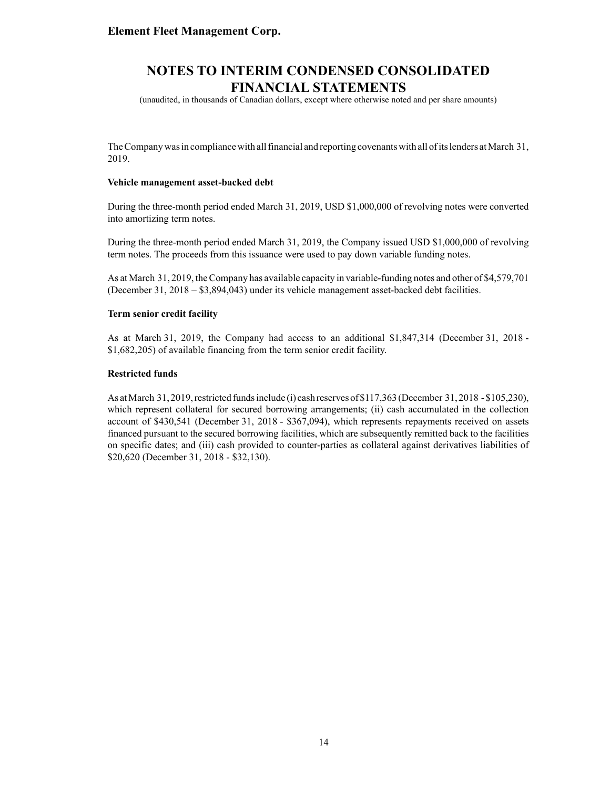(unaudited, in thousands of Canadian dollars, except where otherwise noted and per share amounts)

The Company was in compliance with all financial and reporting covenants with all of its lenders at March 31, 2019.

#### **Vehicle management asset-backed debt**

During the three-month period ended March 31, 2019, USD \$1,000,000 of revolving notes were converted into amortizing term notes.

During the three-month period ended March 31, 2019, the Company issued USD \$1,000,000 of revolving term notes. The proceeds from this issuance were used to pay down variable funding notes.

As at March 31, 2019, the Company has available capacity in variable-funding notes and other of \$4,579,701 (December 31, 2018 – \$3,894,043) under its vehicle management asset-backed debt facilities.

#### **Term senior credit facility**

As at March 31, 2019, the Company had access to an additional \$1,847,314 (December 31, 2018 - \$1,682,205) of available financing from the term senior credit facility.

#### **Restricted funds**

As at March 31, 2019, restricted funds include (i) cash reserves of \$117,363 (December 31, 2018 - \$105,230), which represent collateral for secured borrowing arrangements; (ii) cash accumulated in the collection account of \$430,541 (December 31, 2018 - \$367,094), which represents repayments received on assets financed pursuant to the secured borrowing facilities, which are subsequently remitted back to the facilities on specific dates; and (iii) cash provided to counter-parties as collateral against derivatives liabilities of \$20,620 (December 31, 2018 - \$32,130).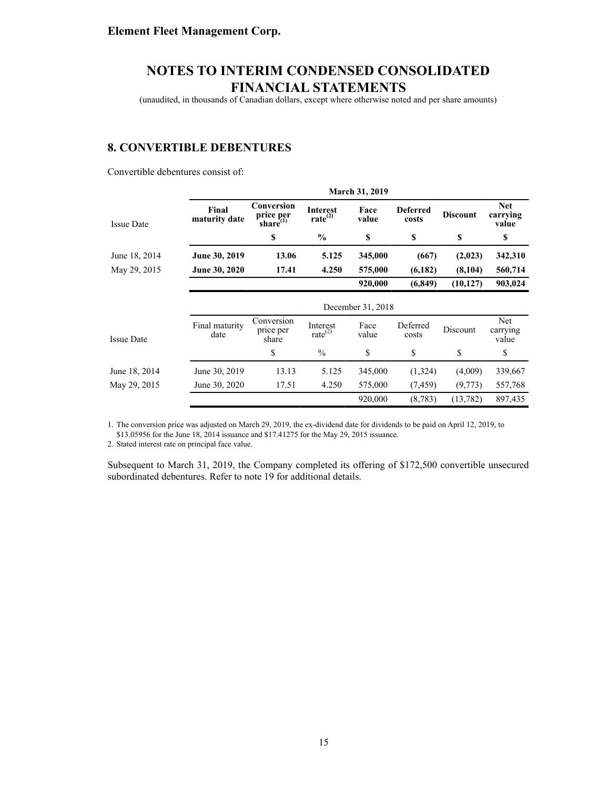(unaudited, in thousands of Canadian dollars, except where otherwise noted and per share amounts)

#### **8. CONVERTIBLE DEBENTURES**

Convertible debentures consist of:

|                   |                        |                                           |                                  | <b>March 31, 2019</b> |                          |                 |                                 |
|-------------------|------------------------|-------------------------------------------|----------------------------------|-----------------------|--------------------------|-----------------|---------------------------------|
| <b>Issue Date</b> | Final<br>maturity date | Conversion<br>price per<br>share $^{(1)}$ | <b>Interest</b><br>rate $^{(2)}$ | Face<br>value         | <b>Deferred</b><br>costs | <b>Discount</b> | <b>Net</b><br>carrying<br>value |
|                   |                        | \$                                        | $\frac{6}{9}$                    | \$                    | \$                       | \$              | \$                              |
| June 18, 2014     | June 30, 2019          | 13.06                                     | 5.125                            | 345,000               | (667)                    | (2,023)         | 342,310                         |
| May 29, 2015      | June 30, 2020          | 17.41                                     | 4.250                            | 575,000               | (6,182)                  | (8,104)         | 560,714                         |
|                   |                        |                                           |                                  | 920,000               | (6, 849)                 | (10, 127)       | 903,024                         |
|                   |                        |                                           |                                  | December 31, 2018     |                          |                 |                                 |
| <b>Issue Date</b> | Final maturity<br>date | Conversion<br>price per<br>share          | Interest<br>rate $^{(2)}$        | Face<br>value         | Deferred<br>costs        | Discount        | Net<br>carrying<br>value        |
|                   |                        | \$                                        | $\frac{0}{0}$                    | \$                    | \$                       | \$              | \$                              |
| June 18, 2014     | June 30, 2019          | 13.13                                     | 5.125                            | 345,000               | (1,324)                  | (4,009)         | 339,667                         |
| May 29, 2015      | June 30, 2020          | 17.51                                     | 4.250                            | 575,000               | (7, 459)                 | (9,773)         | 557,768                         |
|                   |                        |                                           |                                  | 920,000               | (8, 783)                 | (13, 782)       | 897,435                         |

1. The conversion price was adjusted on March 29, 2019, the ex-dividend date for dividends to be paid on April 12, 2019, to \$13.05956 for the June 18, 2014 issuance and \$17.41275 for the May 29, 2015 issuance.

2. Stated interest rate on principal face value.

Subsequent to March 31, 2019, the Company completed its offering of \$172,500 convertible unsecured subordinated debentures. Refer to note 19 for additional details.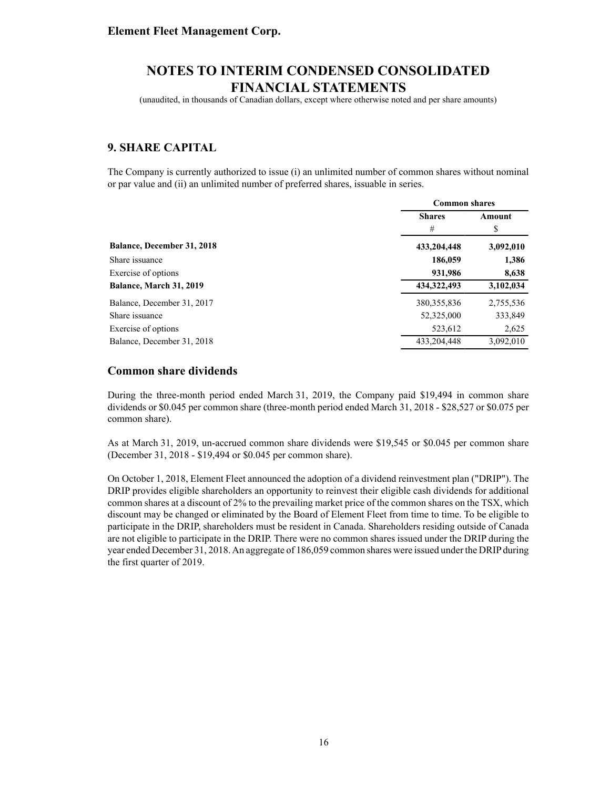(unaudited, in thousands of Canadian dollars, except where otherwise noted and per share amounts)

### **9. SHARE CAPITAL**

The Company is currently authorized to issue (i) an unlimited number of common shares without nominal or par value and (ii) an unlimited number of preferred shares, issuable in series.

|                            | <b>Common shares</b> |           |  |
|----------------------------|----------------------|-----------|--|
|                            | <b>Shares</b>        |           |  |
|                            | #                    | \$        |  |
| Balance, December 31, 2018 | 433,204,448          | 3,092,010 |  |
| Share issuance             | 186,059              | 1,386     |  |
| Exercise of options        | 931,986              | 8,638     |  |
| Balance, March 31, 2019    | 434, 322, 493        | 3,102,034 |  |
| Balance, December 31, 2017 | 380, 355, 836        | 2,755,536 |  |
| Share issuance             | 52,325,000           | 333,849   |  |
| Exercise of options        | 523,612              | 2,625     |  |
| Balance, December 31, 2018 | 433.204.448          | 3,092,010 |  |

#### **Common share dividends**

During the three-month period ended March 31, 2019, the Company paid \$19,494 in common share dividends or \$0.045 per common share (three-month period ended March 31, 2018 - \$28,527 or \$0.075 per common share).

As at March 31, 2019, un-accrued common share dividends were \$19,545 or \$0.045 per common share (December 31, 2018 - \$19,494 or \$0.045 per common share).

On October 1, 2018, Element Fleet announced the adoption of a dividend reinvestment plan ("DRIP"). The DRIP provides eligible shareholders an opportunity to reinvest their eligible cash dividends for additional common shares at a discount of 2% to the prevailing market price of the common shares on the TSX, which discount may be changed or eliminated by the Board of Element Fleet from time to time. To be eligible to participate in the DRIP, shareholders must be resident in Canada. Shareholders residing outside of Canada are not eligible to participate in the DRIP. There were no common shares issued under the DRIP during the year ended December 31, 2018. An aggregate of 186,059 common shares were issued under the DRIP during the first quarter of 2019.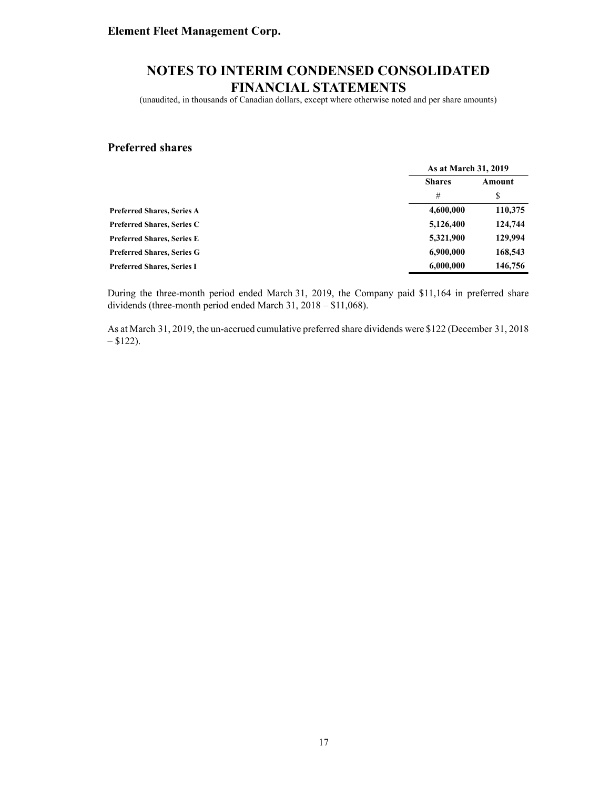(unaudited, in thousands of Canadian dollars, except where otherwise noted and per share amounts)

#### **Preferred shares**

|                                   | As at March 31, 2019    |         |
|-----------------------------------|-------------------------|---------|
|                                   | <b>Shares</b><br>Amount |         |
|                                   | #                       | \$      |
| <b>Preferred Shares, Series A</b> | 4,600,000               | 110,375 |
| <b>Preferred Shares, Series C</b> | 5,126,400               | 124,744 |
| <b>Preferred Shares, Series E</b> | 5,321,900               | 129,994 |
| <b>Preferred Shares, Series G</b> | 6,900,000               | 168,543 |
| <b>Preferred Shares, Series I</b> | 6,000,000               | 146,756 |

During the three-month period ended March 31, 2019, the Company paid \$11,164 in preferred share dividends (three-month period ended March 31, 2018 – \$11,068).

As at March 31, 2019, the un-accrued cumulative preferred share dividends were \$122 (December 31, 2018  $- $122$ ).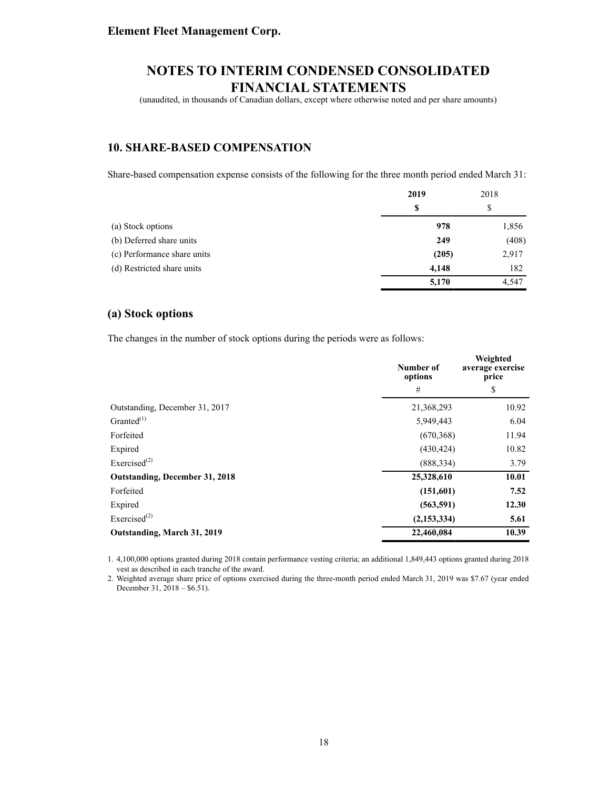(unaudited, in thousands of Canadian dollars, except where otherwise noted and per share amounts)

### **10. SHARE-BASED COMPENSATION**

Share-based compensation expense consists of the following for the three month period ended March 31:

|                             | 2019  | 2018  |
|-----------------------------|-------|-------|
|                             | S     | \$    |
| (a) Stock options           | 978   | 1,856 |
| (b) Deferred share units    | 249   | (408) |
| (c) Performance share units | (205) | 2,917 |
| (d) Restricted share units  | 4,148 | 182   |
|                             | 5,170 | 4,547 |

#### **(a) Stock options**

The changes in the number of stock options during the periods were as follows:

|                                       | Number of<br>options | Weighted<br>average exercise<br>price |
|---------------------------------------|----------------------|---------------------------------------|
|                                       | #                    | \$                                    |
| Outstanding, December 31, 2017        | 21,368,293           | 10.92                                 |
| Granted $^{(1)}$                      | 5,949,443            | 6.04                                  |
| Forfeited                             | (670, 368)           | 11.94                                 |
| Expired                               | (430, 424)           | 10.82                                 |
| Exercised <sup><math>(2)</math></sup> | (888, 334)           | 3.79                                  |
| <b>Outstanding, December 31, 2018</b> | 25,328,610           | 10.01                                 |
| Forfeited                             | (151,601)            | 7.52                                  |
| Expired                               | (563, 591)           | 12.30                                 |
| Exercised $^{(2)}$                    | (2, 153, 334)        | 5.61                                  |
| Outstanding, March 31, 2019           | 22,460,084           | 10.39                                 |

1. 4,100,000 options granted during 2018 contain performance vesting criteria; an additional 1,849,443 options granted during 2018 vest as described in each tranche of the award.

2. Weighted average share price of options exercised during the three-month period ended March 31, 2019 was \$7.67 (year ended December 31, 2018 – \$6.51).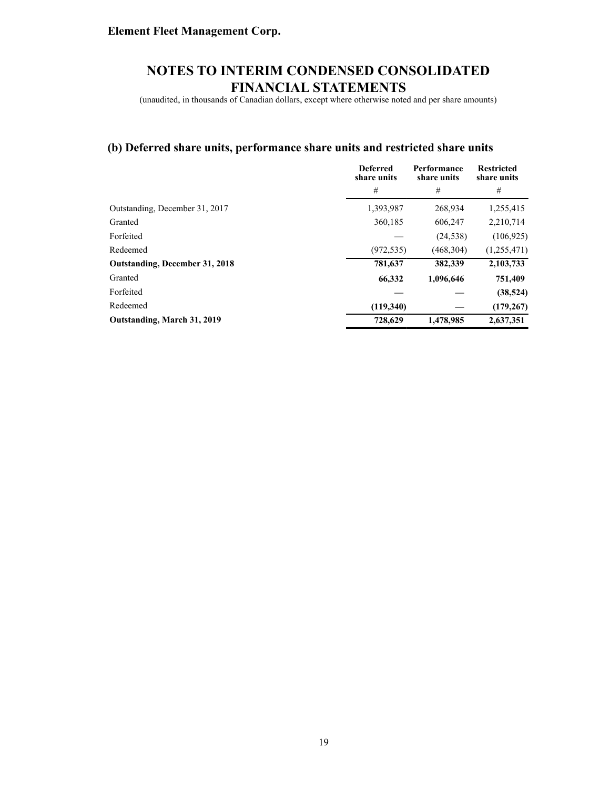(unaudited, in thousands of Canadian dollars, except where otherwise noted and per share amounts)

### **(b) Deferred share units, performance share units and restricted share units**

|                                | <b>Deferred</b><br>share units | Performance<br>share units | <b>Restricted</b><br>share units |
|--------------------------------|--------------------------------|----------------------------|----------------------------------|
|                                | #                              | #                          | #                                |
| Outstanding, December 31, 2017 | 1,393,987                      | 268,934                    | 1,255,415                        |
| Granted                        | 360,185                        | 606,247                    | 2,210,714                        |
| Forfeited                      |                                | (24, 538)                  | (106, 925)                       |
| Redeemed                       | (972, 535)                     | (468, 304)                 | (1,255,471)                      |
| Outstanding, December 31, 2018 | 781,637                        | 382,339                    | 2,103,733                        |
| Granted                        | 66,332                         | 1,096,646                  | 751,409                          |
| Forfeited                      |                                |                            | (38, 524)                        |
| Redeemed                       | (119,340)                      |                            | (179, 267)                       |
| Outstanding, March 31, 2019    | 728,629                        | 1,478,985                  | 2.637.351                        |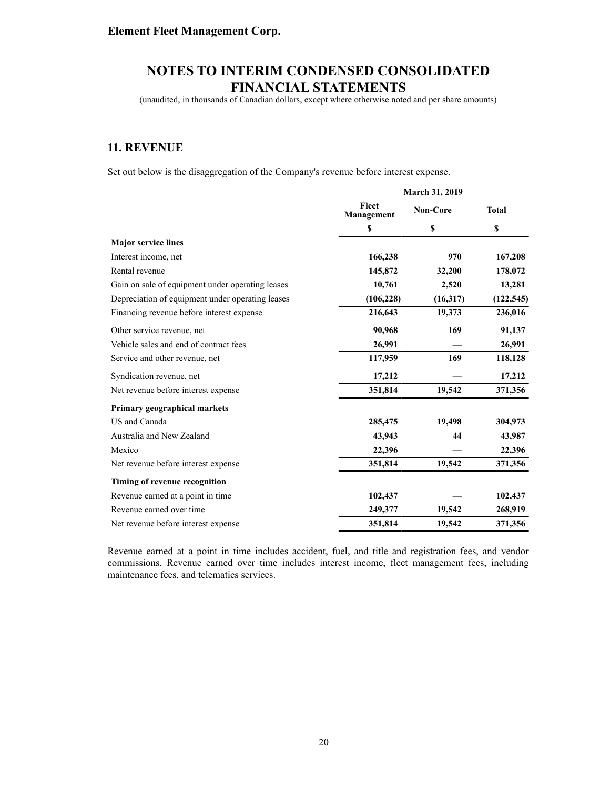(unaudited, in thousands of Canadian dollars, except where otherwise noted and per share amounts)

### **11. REVENUE**

Set out below is the disaggregation of the Company's revenue before interest expense.

|                                                  |                     | <b>March 31, 2019</b> |              |
|--------------------------------------------------|---------------------|-----------------------|--------------|
|                                                  | Fleet<br>Management | Non-Core              | <b>Total</b> |
|                                                  | \$                  | \$                    | \$           |
| <b>Major service lines</b>                       |                     |                       |              |
| Interest income, net                             | 166,238             | 970                   | 167,208      |
| Rental revenue                                   | 145,872             | 32,200                | 178,072      |
| Gain on sale of equipment under operating leases | 10,761              | 2,520                 | 13,281       |
| Depreciation of equipment under operating leases | (106, 228)          | (16,317)              | (122, 545)   |
| Financing revenue before interest expense        | 216,643             | 19,373                | 236,016      |
| Other service revenue, net                       | 90,968              | 169                   | 91,137       |
| Vehicle sales and end of contract fees           | 26,991              |                       | 26,991       |
| Service and other revenue, net                   | 117,959             | 169                   | 118,128      |
| Syndication revenue, net                         | 17,212              |                       | 17,212       |
| Net revenue before interest expense              | 351,814             | 19,542                | 371,356      |
| Primary geographical markets                     |                     |                       |              |
| US and Canada                                    | 285,475             | 19,498                | 304,973      |
| Australia and New Zealand                        | 43,943              | 44                    | 43,987       |
| Mexico                                           | 22,396              |                       | 22,396       |
| Net revenue before interest expense              | 351,814             | 19,542                | 371,356      |
| Timing of revenue recognition                    |                     |                       |              |
| Revenue earned at a point in time                | 102,437             |                       | 102,437      |
| Revenue earned over time                         | 249,377             | 19,542                | 268,919      |
| Net revenue before interest expense              | 351,814             | 19,542                | 371,356      |

Revenue earned at a point in time includes accident, fuel, and title and registration fees, and vendor commissions. Revenue earned over time includes interest income, fleet management fees, including maintenance fees, and telematics services.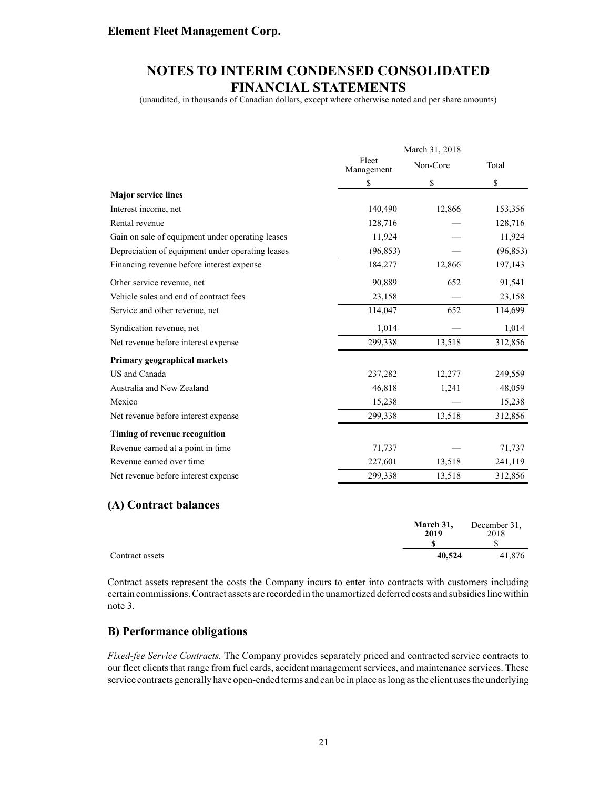# **NOTES TO INTERIM CONDENSED CONSOLIDATED FINANCIAL STATEMENTS**

(unaudited, in thousands of Canadian dollars, except where otherwise noted and per share amounts)

|                                                  | March 31, 2018      |          |           |  |
|--------------------------------------------------|---------------------|----------|-----------|--|
|                                                  | Fleet<br>Management | Non-Core | Total     |  |
|                                                  | \$                  | \$       | \$        |  |
| <b>Major service lines</b>                       |                     |          |           |  |
| Interest income, net                             | 140,490             | 12,866   | 153,356   |  |
| Rental revenue                                   | 128,716             |          | 128,716   |  |
| Gain on sale of equipment under operating leases | 11,924              |          | 11,924    |  |
| Depreciation of equipment under operating leases | (96, 853)           |          | (96, 853) |  |
| Financing revenue before interest expense        | 184,277             | 12,866   | 197,143   |  |
| Other service revenue, net                       | 90,889              | 652      | 91,541    |  |
| Vehicle sales and end of contract fees           | 23,158              |          | 23,158    |  |
| Service and other revenue, net                   | 114,047             | 652      | 114,699   |  |
| Syndication revenue, net                         | 1,014               |          | 1,014     |  |
| Net revenue before interest expense              | 299,338             | 13,518   | 312,856   |  |
| Primary geographical markets                     |                     |          |           |  |
| US and Canada                                    | 237,282             | 12,277   | 249,559   |  |
| Australia and New Zealand                        | 46,818              | 1,241    | 48,059    |  |
| Mexico                                           | 15,238              |          | 15,238    |  |
| Net revenue before interest expense              | 299,338             | 13,518   | 312,856   |  |
| Timing of revenue recognition                    |                     |          |           |  |
| Revenue earned at a point in time                | 71,737              |          | 71,737    |  |
| Revenue earned over time                         | 227,601             | 13,518   | 241,119   |  |
| Net revenue before interest expense              | 299,338             | 13,518   | 312,856   |  |

#### **(A) Contract balances**

|                 | March 31,<br>2019 | December 31.<br>2018 |
|-----------------|-------------------|----------------------|
| Contract assets | 40.524            | 41.876               |

Contract assets represent the costs the Company incurs to enter into contracts with customers including certain commissions. Contract assets are recorded in the unamortized deferred costs and subsidies line within note 3.

#### **B) Performance obligations**

*Fixed-fee Service Contracts.* The Company provides separately priced and contracted service contracts to our fleet clients that range from fuel cards, accident management services, and maintenance services. These service contracts generally have open-ended terms and can be in place as long as the client uses the underlying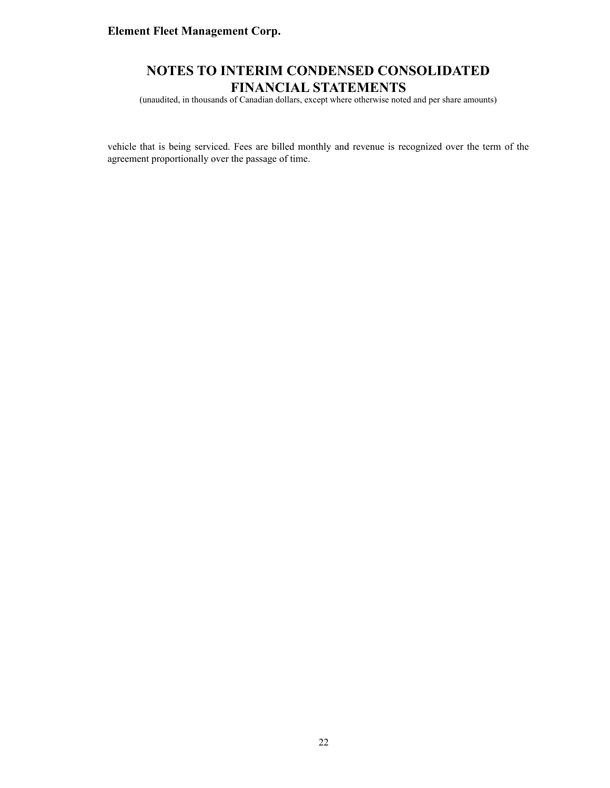### **NOTES TO INTERIM CONDENSED CONSOLIDATED FINANCIAL STATEMENTS**

(unaudited, in thousands of Canadian dollars, except where otherwise noted and per share amounts)

vehicle that is being serviced. Fees are billed monthly and revenue is recognized over the term of the agreement proportionally over the passage of time.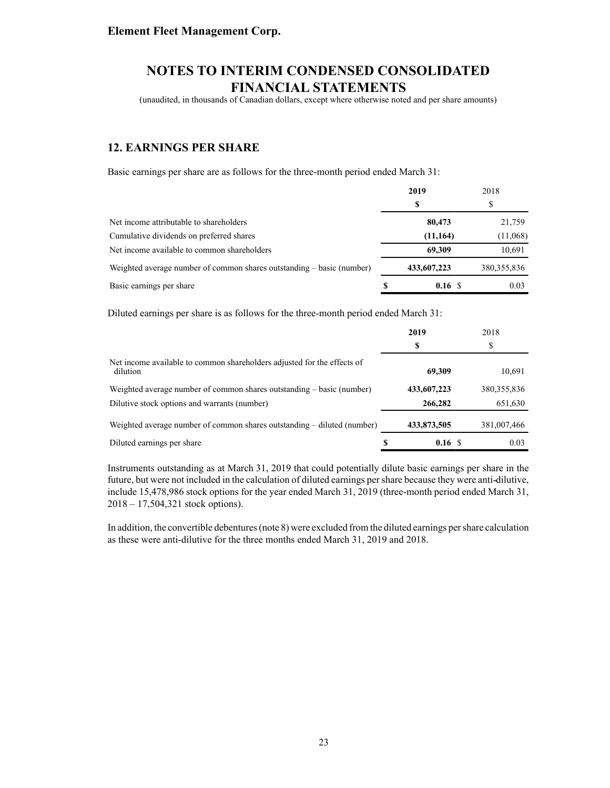(unaudited, in thousands of Canadian dollars, except where otherwise noted and per share amounts)

### **12. EARNINGS PER SHARE**

Basic earnings per share are as follows for the three-month period ended March 31:

|                                                                       |   | 2019        | 2018          |
|-----------------------------------------------------------------------|---|-------------|---------------|
|                                                                       |   | S           | S             |
| Net income attributable to shareholders                               |   | 80,473      | 21,759        |
| Cumulative dividends on preferred shares                              |   | (11, 164)   | (11,068)      |
| Net income available to common shareholders                           |   | 69,309      | 10,691        |
| Weighted average number of common shares outstanding – basic (number) |   | 433,607,223 | 380, 355, 836 |
| Basic earnings per share                                              | S | 0.16S       | 0.03          |

Diluted earnings per share is as follows for the three-month period ended March 31:

|                                                                                     | 2019        | 2018          |      |
|-------------------------------------------------------------------------------------|-------------|---------------|------|
|                                                                                     | S           | \$            |      |
| Net income available to common shareholders adjusted for the effects of<br>dilution | 69,309      | 10,691        |      |
| Weighted average number of common shares outstanding $-$ basic (number)             | 433,607,223 | 380, 355, 836 |      |
| Dilutive stock options and warrants (number)                                        | 266,282     | 651,630       |      |
| Weighted average number of common shares outstanding – diluted (number)             | 433,873,505 | 381,007,466   |      |
| Diluted earnings per share                                                          | S<br>0.16S  |               | 0.03 |

Instruments outstanding as at March 31, 2019 that could potentially dilute basic earnings per share in the future, but were not included in the calculation of diluted earnings per share because they were anti dilutive, include 15,478,986 stock options for the year ended March 31, 2019 (three-month period ended March 31, 2018 – 17,504,321 stock options).

In addition, the convertible debentures (note 8) were excluded from the diluted earnings per share calculation as these were anti-dilutive for the three months ended March 31, 2019 and 2018.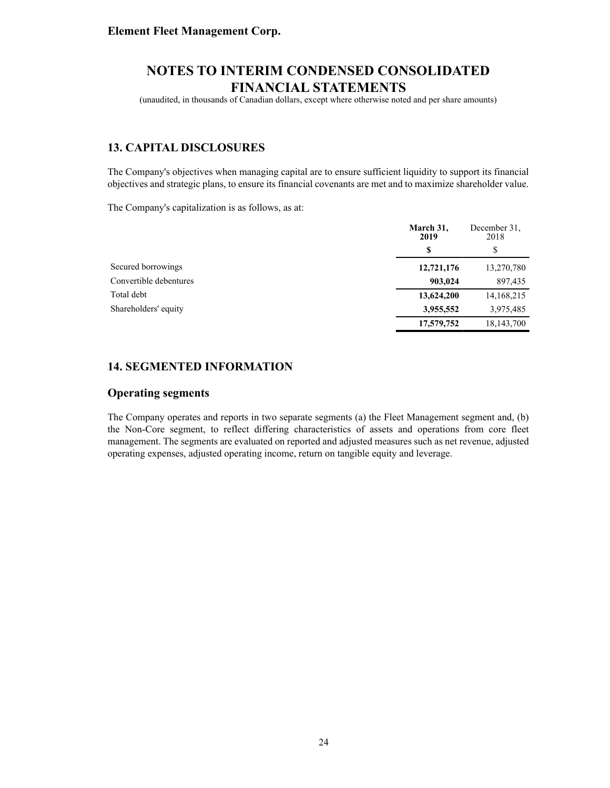(unaudited, in thousands of Canadian dollars, except where otherwise noted and per share amounts)

### **13. CAPITAL DISCLOSURES**

The Company's objectives when managing capital are to ensure sufficient liquidity to support its financial objectives and strategic plans, to ensure its financial covenants are met and to maximize shareholder value.

The Company's capitalization is as follows, as at:

|                        | March 31,<br>2019 | December 31.<br>2018 |
|------------------------|-------------------|----------------------|
|                        | S                 | S                    |
| Secured borrowings     | 12,721,176        | 13,270,780           |
| Convertible debentures | 903,024           | 897,435              |
| Total debt             | 13,624,200        | 14,168,215           |
| Shareholders' equity   | 3,955,552         | 3,975,485            |
|                        | 17,579,752        | 18,143,700           |

#### **14. SEGMENTED INFORMATION**

#### **Operating segments**

The Company operates and reports in two separate segments (a) the Fleet Management segment and, (b) the Non-Core segment, to reflect differing characteristics of assets and operations from core fleet management. The segments are evaluated on reported and adjusted measures such as net revenue, adjusted operating expenses, adjusted operating income, return on tangible equity and leverage.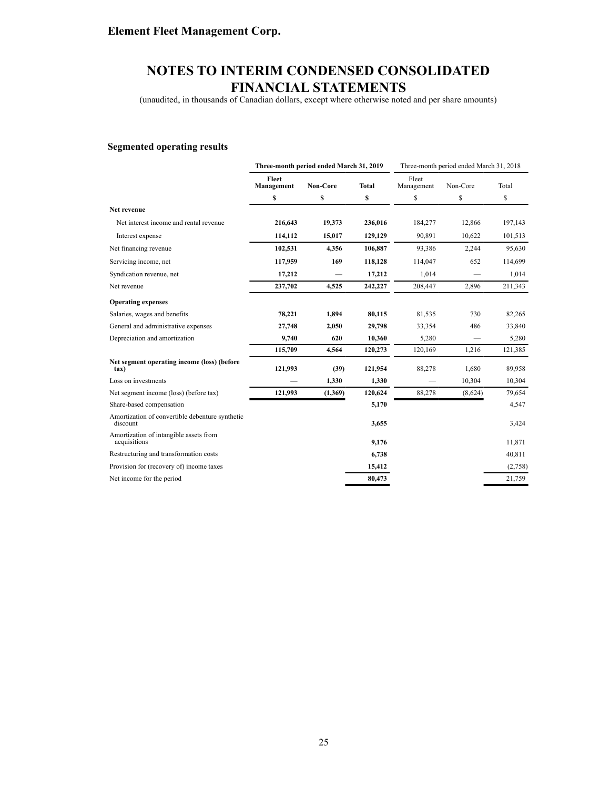# **NOTES TO INTERIM CONDENSED CONSOLIDATED FINANCIAL STATEMENTS**

(unaudited, in thousands of Canadian dollars, except where otherwise noted and per share amounts)

#### **Segmented operating results**

|                                                             | Three-month period ended March 31, 2019 |          |              |                     | Three-month period ended March 31, 2018 |         |
|-------------------------------------------------------------|-----------------------------------------|----------|--------------|---------------------|-----------------------------------------|---------|
|                                                             | Fleet<br>Management                     | Non-Core | <b>Total</b> | Fleet<br>Management | Non-Core                                | Total   |
|                                                             | \$                                      | \$       | \$           | \$                  | \$                                      | \$      |
| Net revenue                                                 |                                         |          |              |                     |                                         |         |
| Net interest income and rental revenue                      | 216,643                                 | 19,373   | 236,016      | 184,277             | 12,866                                  | 197,143 |
| Interest expense                                            | 114,112                                 | 15,017   | 129,129      | 90,891              | 10,622                                  | 101,513 |
| Net financing revenue                                       | 102,531                                 | 4,356    | 106,887      | 93,386              | 2,244                                   | 95,630  |
| Servicing income, net                                       | 117,959                                 | 169      | 118,128      | 114,047             | 652                                     | 114,699 |
| Syndication revenue, net                                    | 17,212                                  |          | 17,212       | 1,014               |                                         | 1,014   |
| Net revenue                                                 | 237,702                                 | 4,525    | 242,227      | 208,447             | 2,896                                   | 211,343 |
| <b>Operating expenses</b>                                   |                                         |          |              |                     |                                         |         |
| Salaries, wages and benefits                                | 78,221                                  | 1,894    | 80,115       | 81,535              | 730                                     | 82,265  |
| General and administrative expenses                         | 27,748                                  | 2,050    | 29,798       | 33,354              | 486                                     | 33,840  |
| Depreciation and amortization                               | 9,740                                   | 620      | 10,360       | 5,280               |                                         | 5,280   |
|                                                             | 115,709                                 | 4,564    | 120,273      | 120,169             | 1,216                                   | 121,385 |
| Net segment operating income (loss) (before<br>tax)         | 121,993                                 | (39)     | 121,954      | 88,278              | 1,680                                   | 89,958  |
| Loss on investments                                         |                                         | 1,330    | 1,330        |                     | 10,304                                  | 10,304  |
| Net segment income (loss) (before tax)                      | 121,993                                 | (1,369)  | 120,624      | 88,278              | (8,624)                                 | 79,654  |
| Share-based compensation                                    |                                         |          | 5,170        |                     |                                         | 4,547   |
| Amortization of convertible debenture synthetic<br>discount |                                         |          | 3,655        |                     |                                         | 3,424   |
| Amortization of intangible assets from<br>acquisitions      |                                         |          | 9,176        |                     |                                         | 11,871  |
| Restructuring and transformation costs                      |                                         |          | 6,738        |                     |                                         | 40,811  |
| Provision for (recovery of) income taxes                    |                                         |          | 15,412       |                     |                                         | (2,758) |
| Net income for the period                                   |                                         |          | 80,473       |                     |                                         | 21,759  |
|                                                             |                                         |          |              |                     |                                         |         |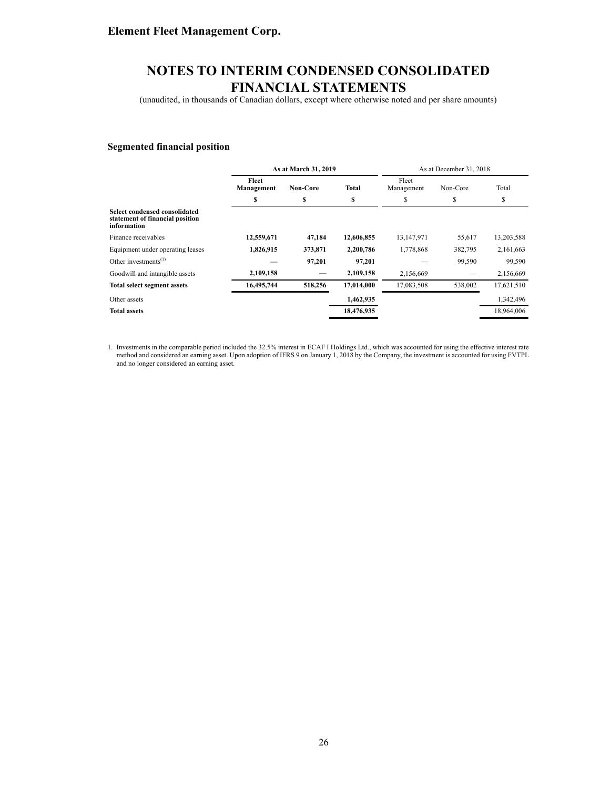(unaudited, in thousands of Canadian dollars, except where otherwise noted and per share amounts)

#### **Segmented financial position**

|                                                                                 | As at March 31, 2019 |                 |              |                     | As at December 31, 2018 |            |
|---------------------------------------------------------------------------------|----------------------|-----------------|--------------|---------------------|-------------------------|------------|
|                                                                                 | Fleet<br>Management  | <b>Non-Core</b> | <b>Total</b> | Fleet<br>Management | Non-Core                | Total      |
|                                                                                 | s                    | \$              | \$           | \$                  | \$                      | \$         |
| Select condensed consolidated<br>statement of financial position<br>information |                      |                 |              |                     |                         |            |
| Finance receivables                                                             | 12,559,671           | 47,184          | 12,606,855   | 13,147,971          | 55,617                  | 13,203,588 |
| Equipment under operating leases                                                | 1,826,915            | 373,871         | 2,200,786    | 1,778,868           | 382,795                 | 2,161,663  |
| Other investments $^{(1)}$                                                      |                      | 97,201          | 97,201       |                     | 99,590                  | 99,590     |
| Goodwill and intangible assets                                                  | 2,109,158            |                 | 2,109,158    | 2,156,669           |                         | 2,156,669  |
| <b>Total select segment assets</b>                                              | 16,495,744           | 518,256         | 17,014,000   | 17,083,508          | 538,002                 | 17,621,510 |
| Other assets                                                                    |                      |                 | 1,462,935    |                     |                         | 1,342,496  |
| <b>Total assets</b>                                                             |                      |                 | 18,476,935   |                     |                         | 18.964.006 |

1. Investments in the comparable period included the 32.5% interest in ECAF I Holdings Ltd., which was accounted for using the effective interest rate method and considered an earning asset. Upon adoption of IFRS 9 on January 1, 2018 by the Company, the investment is accounted for using FVTPL and no longer considered an earning asset.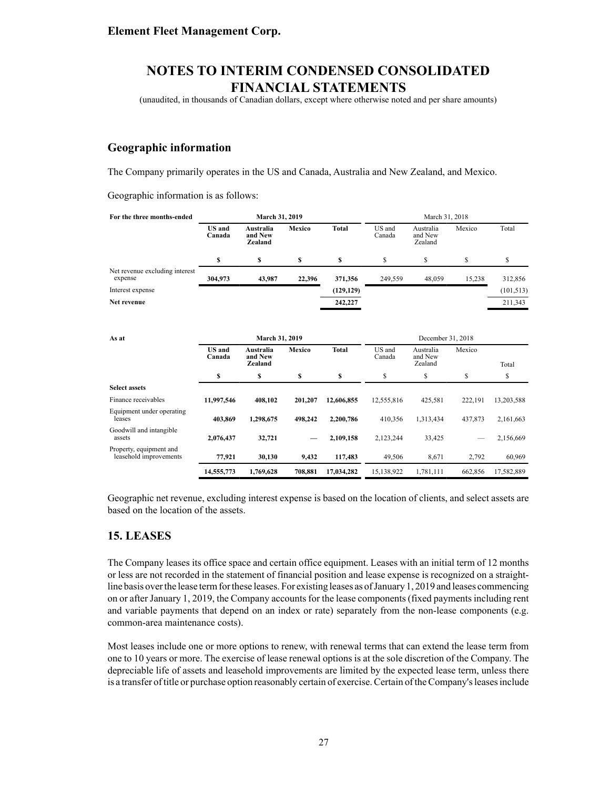(unaudited, in thousands of Canadian dollars, except where otherwise noted and per share amounts)

#### **Geographic information**

The Company primarily operates in the US and Canada, Australia and New Zealand, and Mexico.

Geographic information is as follows:

| For the three months-ended                        |                         | March 31, 2019                      |               |              |                  | March 31, 2018                  |         |            |  |  |  |  |
|---------------------------------------------------|-------------------------|-------------------------------------|---------------|--------------|------------------|---------------------------------|---------|------------|--|--|--|--|
|                                                   | <b>US</b> and<br>Canada | Australia<br>and New<br>Zealand     | Mexico        | <b>Total</b> | US and<br>Canada | Australia<br>and New<br>Zealand | Mexico  | Total      |  |  |  |  |
|                                                   | \$                      | \$                                  | \$            | \$           | \$               | \$                              | \$      | \$         |  |  |  |  |
| Net revenue excluding interest<br>expense         | 304,973                 | 43,987                              | 22,396        | 371,356      | 249,559          | 48,059                          | 15,238  | 312,856    |  |  |  |  |
| Interest expense                                  |                         |                                     |               | (129, 129)   |                  |                                 |         | (101, 513) |  |  |  |  |
| Net revenue                                       |                         |                                     |               | 242,227      |                  |                                 |         | 211,343    |  |  |  |  |
|                                                   |                         |                                     |               |              |                  |                                 |         |            |  |  |  |  |
| As at                                             |                         | March 31, 2019<br>December 31, 2018 |               |              |                  |                                 |         |            |  |  |  |  |
|                                                   | <b>US</b> and<br>Canada | Australia<br>and New<br>Zealand     | <b>Mexico</b> | <b>Total</b> | US and<br>Canada | Australia<br>and New<br>Zealand | Mexico  | Total      |  |  |  |  |
|                                                   | \$                      | \$                                  | \$            | \$           | \$               | \$                              | \$      | \$         |  |  |  |  |
| <b>Select assets</b>                              |                         |                                     |               |              |                  |                                 |         |            |  |  |  |  |
| Finance receivables                               | 11,997,546              | 408.102                             | 201,207       | 12,606,855   | 12,555,816       | 425,581                         | 222,191 | 13,203,588 |  |  |  |  |
| Equipment under operating<br>leases               | 403,869                 | 1,298,675                           | 498,242       | 2,200,786    | 410,356          | 1,313,434                       | 437,873 | 2,161,663  |  |  |  |  |
| Goodwill and intangible<br>assets                 | 2,076,437               | 32,721                              |               | 2,109,158    | 2,123,244        | 33,425                          |         | 2,156,669  |  |  |  |  |
| Property, equipment and<br>leasehold improvements | 77,921                  | 30,130                              | 9,432         | 117,483      | 49,506           | 8,671                           | 2,792   | 60,969     |  |  |  |  |
|                                                   | 14,555,773              | 1,769,628                           | 708,881       | 17,034,282   | 15,138,922       | 1,781,111                       | 662,856 | 17,582,889 |  |  |  |  |

Geographic net revenue, excluding interest expense is based on the location of clients, and select assets are based on the location of the assets.

#### **15. LEASES**

The Company leases its office space and certain office equipment. Leases with an initial term of 12 months or less are not recorded in the statement of financial position and lease expense is recognized on a straightline basis over the lease term for these leases. For existing leases as of January 1, 2019 and leases commencing on or after January 1, 2019, the Company accounts for the lease components (fixed payments including rent and variable payments that depend on an index or rate) separately from the non-lease components (e.g. common-area maintenance costs).

Most leases include one or more options to renew, with renewal terms that can extend the lease term from one to 10 years or more. The exercise of lease renewal options is at the sole discretion of the Company. The depreciable life of assets and leasehold improvements are limited by the expected lease term, unless there is a transfer of title or purchase option reasonably certain of exercise. Certain of the Company's leases include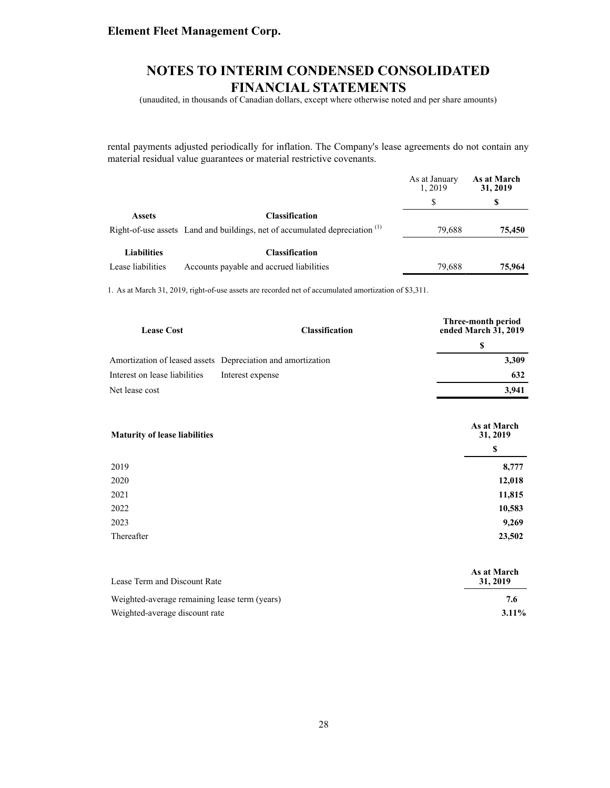### **NOTES TO INTERIM CONDENSED CONSOLIDATED FINANCIAL STATEMENTS**

(unaudited, in thousands of Canadian dollars, except where otherwise noted and per share amounts)

rental payments adjusted periodically for inflation. The Company's lease agreements do not contain any material residual value guarantees or material restrictive covenants.

|                    |                                                                                        | As at January<br>1.2019 | As at March<br>31, 2019 |
|--------------------|----------------------------------------------------------------------------------------|-------------------------|-------------------------|
|                    |                                                                                        |                         | S                       |
| <b>Assets</b>      | <b>Classification</b>                                                                  |                         |                         |
|                    | Right-of-use assets Land and buildings, net of accumulated depreciation <sup>(1)</sup> | 79.688                  | 75,450                  |
| <b>Liabilities</b> | <b>Classification</b>                                                                  |                         |                         |
| Lease liabilities  | Accounts payable and accrued liabilities                                               | 79.688                  | 75.964                  |

1. As at March 31, 2019, right-of-use assets are recorded net of accumulated amortization of \$3,311.

| <b>Lease Cost</b>             | <b>Classification</b>                                       | Three-month period<br>ended March 31, 2019 |  |
|-------------------------------|-------------------------------------------------------------|--------------------------------------------|--|
|                               |                                                             |                                            |  |
|                               | Amortization of leased assets Depreciation and amortization | 3,309                                      |  |
| Interest on lease liabilities | Interest expense                                            | 632                                        |  |
| Net lease cost                |                                                             | 3.941                                      |  |

| <b>Maturity of lease liabilities</b> | As at March<br>31, 2019 |
|--------------------------------------|-------------------------|
|                                      | \$                      |
| 2019                                 | 8,777                   |
| 2020                                 | 12,018                  |
| 2021                                 | 11,815                  |
| 2022                                 | 10,583                  |
| 2023                                 | 9,269                   |
| Thereafter                           | 23,502                  |

| Lease Term and Discount Rate                  | As at March<br>31, 2019 |
|-----------------------------------------------|-------------------------|
| Weighted-average remaining lease term (years) | 7.6                     |
| Weighted-average discount rate                | $3.11\%$                |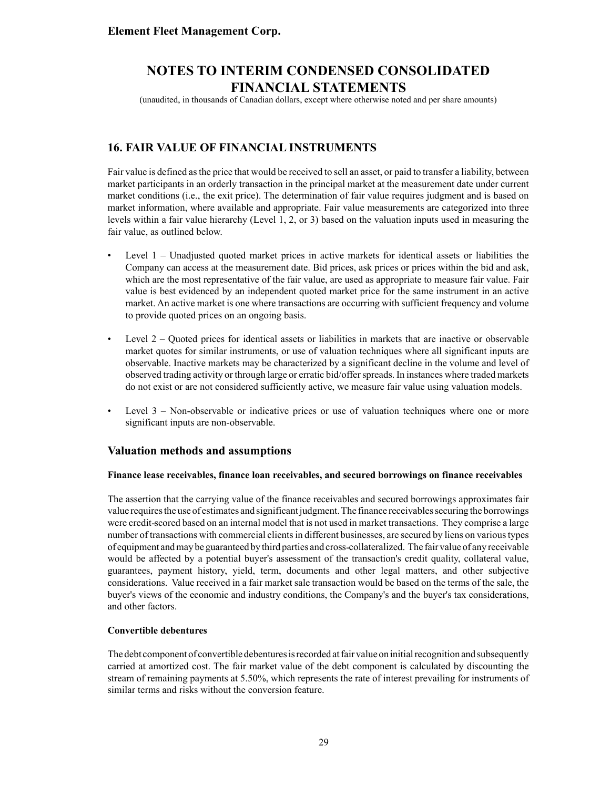(unaudited, in thousands of Canadian dollars, except where otherwise noted and per share amounts)

### **16. FAIR VALUE OF FINANCIAL INSTRUMENTS**

Fair value is defined as the price that would be received to sell an asset, or paid to transfer a liability, between market participants in an orderly transaction in the principal market at the measurement date under current market conditions (i.e., the exit price). The determination of fair value requires judgment and is based on market information, where available and appropriate. Fair value measurements are categorized into three levels within a fair value hierarchy (Level 1, 2, or 3) based on the valuation inputs used in measuring the fair value, as outlined below.

- Level 1 Unadjusted quoted market prices in active markets for identical assets or liabilities the Company can access at the measurement date. Bid prices, ask prices or prices within the bid and ask, which are the most representative of the fair value, are used as appropriate to measure fair value. Fair value is best evidenced by an independent quoted market price for the same instrument in an active market. An active market is one where transactions are occurring with sufficient frequency and volume to provide quoted prices on an ongoing basis.
- Level  $2$  Quoted prices for identical assets or liabilities in markets that are inactive or observable market quotes for similar instruments, or use of valuation techniques where all significant inputs are observable. Inactive markets may be characterized by a significant decline in the volume and level of observed trading activity or through large or erratic bid/offer spreads. In instances where traded markets do not exist or are not considered sufficiently active, we measure fair value using valuation models.
- Level 3 Non-observable or indicative prices or use of valuation techniques where one or more significant inputs are non-observable.

#### **Valuation methods and assumptions**

#### **Finance lease receivables, finance loan receivables, and secured borrowings on finance receivables**

The assertion that the carrying value of the finance receivables and secured borrowings approximates fair value requires the use of estimates and significant judgment. The finance receivables securing the borrowings were credit scored based on an internal model that is not used in market transactions. They comprise a large number of transactions with commercial clients in different businesses, are secured by liens on various types of equipment and may be guaranteed by third parties and cross collateralized. The fair value of any receivable would be affected by a potential buyer's assessment of the transaction's credit quality, collateral value, guarantees, payment history, yield, term, documents and other legal matters, and other subjective considerations. Value received in a fair market sale transaction would be based on the terms of the sale, the buyer's views of the economic and industry conditions, the Company's and the buyer's tax considerations, and other factors.

#### **Convertible debentures**

The debt component of convertible debentures is recorded at fair value on initial recognition and subsequently carried at amortized cost. The fair market value of the debt component is calculated by discounting the stream of remaining payments at 5.50%, which represents the rate of interest prevailing for instruments of similar terms and risks without the conversion feature.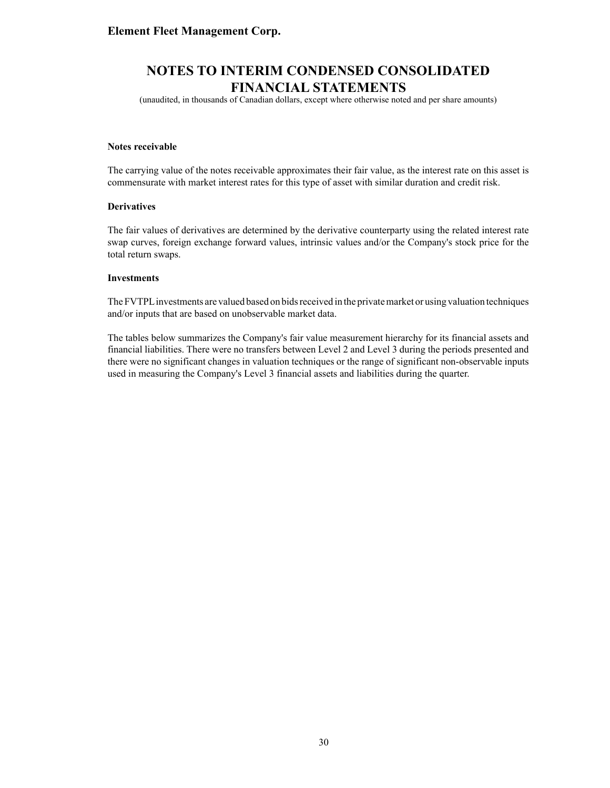(unaudited, in thousands of Canadian dollars, except where otherwise noted and per share amounts)

#### **Notes receivable**

The carrying value of the notes receivable approximates their fair value, as the interest rate on this asset is commensurate with market interest rates for this type of asset with similar duration and credit risk.

#### **Derivatives**

The fair values of derivatives are determined by the derivative counterparty using the related interest rate swap curves, foreign exchange forward values, intrinsic values and/or the Company's stock price for the total return swaps.

#### **Investments**

The FVTPLinvestments are valued based on bids received in the private market or using valuation techniques and/or inputs that are based on unobservable market data.

The tables below summarizes the Company's fair value measurement hierarchy for its financial assets and financial liabilities. There were no transfers between Level 2 and Level 3 during the periods presented and there were no significant changes in valuation techniques or the range of significant non-observable inputs used in measuring the Company's Level 3 financial assets and liabilities during the quarter.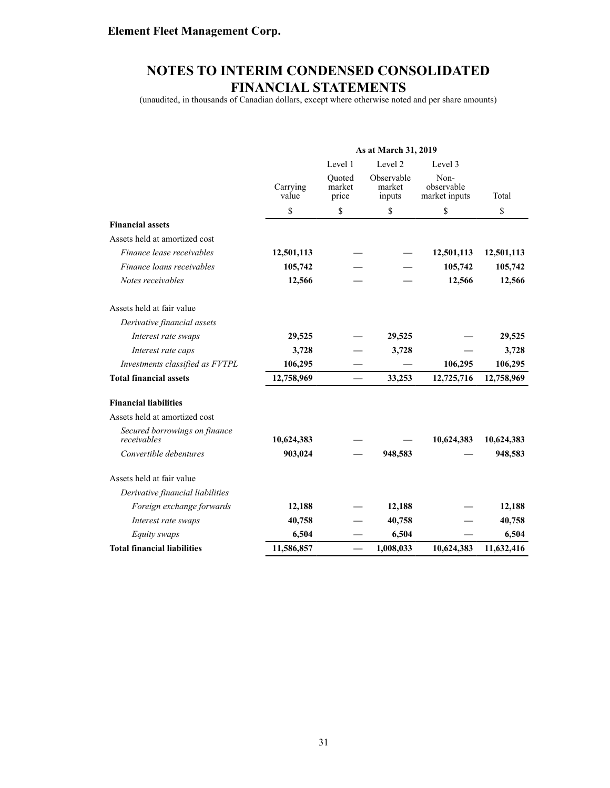(unaudited, in thousands of Canadian dollars, except where otherwise noted and per share amounts)

|                                              | As at March 31, 2019 |                           |                                |                                     |            |
|----------------------------------------------|----------------------|---------------------------|--------------------------------|-------------------------------------|------------|
|                                              |                      | Level 1                   | Level 2                        | Level 3                             |            |
|                                              | Carrying<br>value    | Quoted<br>market<br>price | Observable<br>market<br>inputs | Non-<br>observable<br>market inputs | Total      |
|                                              | \$                   | \$                        | \$                             | \$                                  | \$         |
| <b>Financial assets</b>                      |                      |                           |                                |                                     |            |
| Assets held at amortized cost                |                      |                           |                                |                                     |            |
| Finance lease receivables                    | 12,501,113           |                           |                                | 12,501,113                          | 12,501,113 |
| Finance loans receivables                    | 105,742              |                           |                                | 105,742                             | 105,742    |
| Notes receivables                            | 12,566               |                           |                                | 12,566                              | 12,566     |
| Assets held at fair value                    |                      |                           |                                |                                     |            |
| Derivative financial assets                  |                      |                           |                                |                                     |            |
| Interest rate swaps                          | 29,525               |                           | 29,525                         |                                     | 29,525     |
| Interest rate caps                           | 3,728                |                           | 3,728                          |                                     | 3,728      |
| Investments classified as FVTPL              | 106,295              |                           |                                | 106,295                             | 106,295    |
| <b>Total financial assets</b>                | 12,758,969           | $\overline{\phantom{0}}$  | 33,253                         | 12,725,716                          | 12,758,969 |
| <b>Financial liabilities</b>                 |                      |                           |                                |                                     |            |
| Assets held at amortized cost                |                      |                           |                                |                                     |            |
| Secured borrowings on finance<br>receivables | 10,624,383           |                           |                                | 10,624,383                          | 10,624,383 |
| Convertible debentures                       | 903,024              |                           | 948,583                        |                                     | 948,583    |
| Assets held at fair value                    |                      |                           |                                |                                     |            |
| Derivative financial liabilities             |                      |                           |                                |                                     |            |
| Foreign exchange forwards                    | 12,188               |                           | 12,188                         |                                     | 12,188     |
| Interest rate swaps                          | 40,758               |                           | 40,758                         |                                     | 40,758     |
| Equity swaps                                 | 6,504                |                           | 6,504                          |                                     | 6,504      |
| <b>Total financial liabilities</b>           | 11,586,857           |                           | 1,008,033                      | 10,624,383                          | 11,632,416 |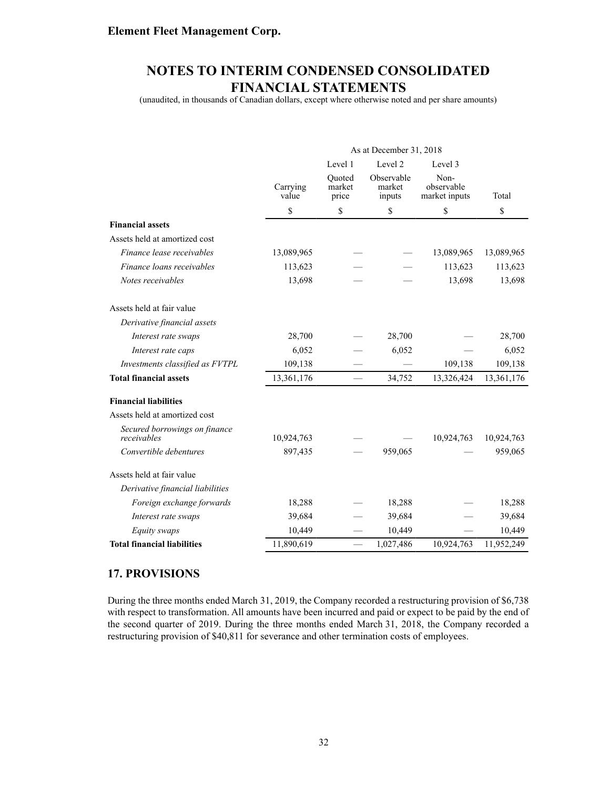(unaudited, in thousands of Canadian dollars, except where otherwise noted and per share amounts)

|                                              | As at December 31, 2018 |                           |                                |                                     |            |
|----------------------------------------------|-------------------------|---------------------------|--------------------------------|-------------------------------------|------------|
|                                              |                         | Level 1                   | Level 2                        | Level 3                             |            |
|                                              | Carrying<br>value       | Quoted<br>market<br>price | Observable<br>market<br>inputs | Non-<br>observable<br>market inputs | Total      |
|                                              | \$                      | \$                        | \$                             | \$                                  | \$         |
| <b>Financial assets</b>                      |                         |                           |                                |                                     |            |
| Assets held at amortized cost                |                         |                           |                                |                                     |            |
| Finance lease receivables                    | 13,089,965              |                           |                                | 13,089,965                          | 13,089,965 |
| Finance loans receivables                    | 113,623                 |                           |                                | 113,623                             | 113,623    |
| Notes receivables                            | 13,698                  |                           |                                | 13,698                              | 13,698     |
| Assets held at fair value                    |                         |                           |                                |                                     |            |
| Derivative financial assets                  |                         |                           |                                |                                     |            |
| Interest rate swaps                          | 28,700                  |                           | 28,700                         |                                     | 28,700     |
| Interest rate caps                           | 6,052                   |                           | 6,052                          |                                     | 6,052      |
| Investments classified as FVTPL              | 109,138                 |                           |                                | 109,138                             | 109,138    |
| <b>Total financial assets</b>                | 13,361,176              |                           | 34,752                         | 13,326,424                          | 13,361,176 |
| <b>Financial liabilities</b>                 |                         |                           |                                |                                     |            |
| Assets held at amortized cost                |                         |                           |                                |                                     |            |
| Secured borrowings on finance<br>receivables | 10,924,763              |                           |                                | 10,924,763                          | 10,924,763 |
| Convertible debentures                       | 897,435                 |                           | 959,065                        |                                     | 959,065    |
| Assets held at fair value                    |                         |                           |                                |                                     |            |
| Derivative financial liabilities             |                         |                           |                                |                                     |            |
| Foreign exchange forwards                    | 18,288                  |                           | 18,288                         |                                     | 18,288     |
| Interest rate swaps                          | 39,684                  |                           | 39,684                         |                                     | 39,684     |
| Equity swaps                                 | 10,449                  |                           | 10,449                         |                                     | 10,449     |
| <b>Total financial liabilities</b>           | 11,890,619              |                           | 1,027,486                      | 10,924,763                          | 11,952,249 |

#### **17. PROVISIONS**

During the three months ended March 31, 2019, the Company recorded a restructuring provision of \$6,738 with respect to transformation. All amounts have been incurred and paid or expect to be paid by the end of the second quarter of 2019. During the three months ended March 31, 2018, the Company recorded a restructuring provision of \$40,811 for severance and other termination costs of employees.